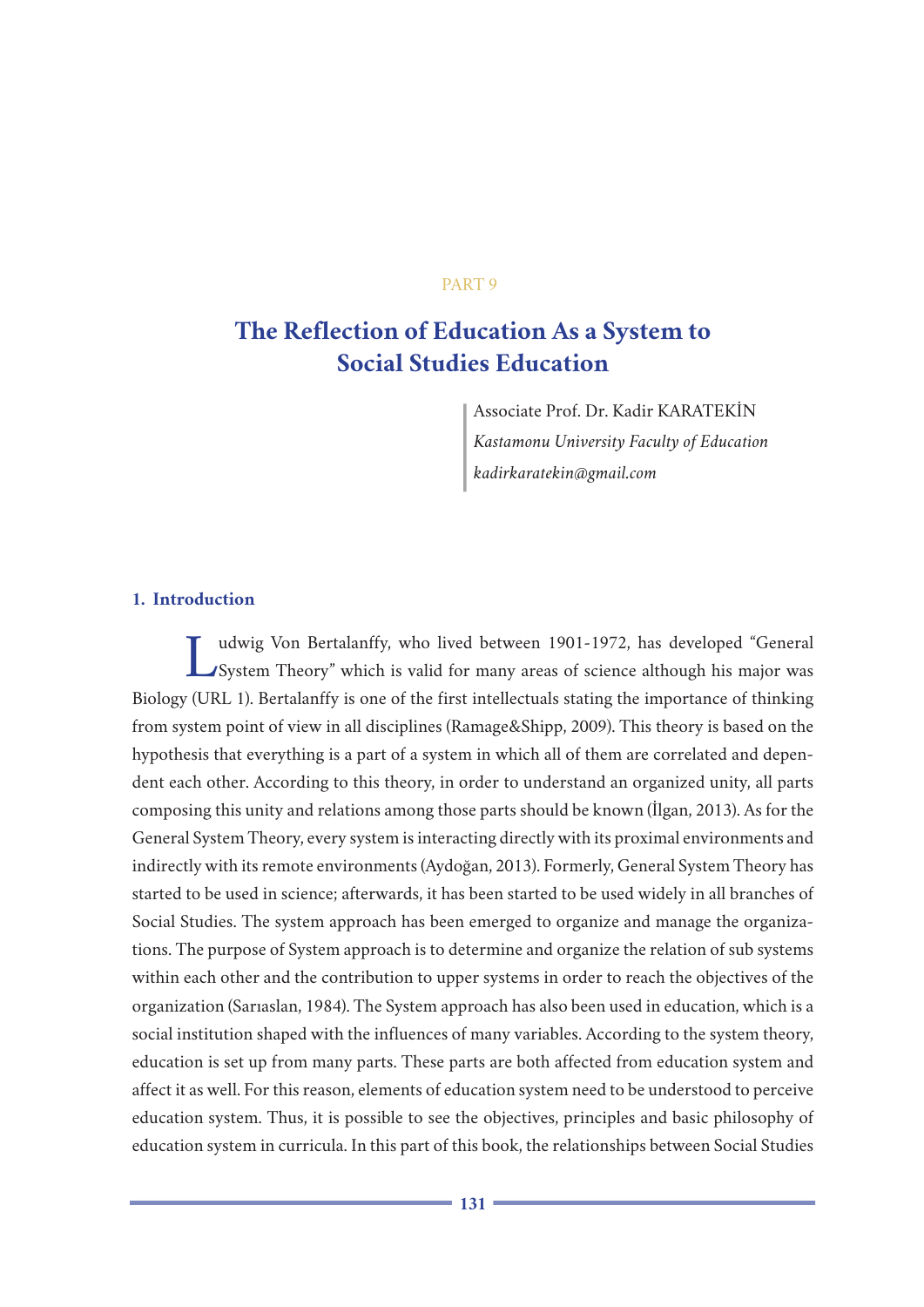## PART 9

# **The Reflection of Education As a System to Social Studies Education**

Associate Prof. Dr. Kadir KARATEKİN *Kastamonu University Faculty of Education kadirkaratekin@gmail.com*

# **1. Introduction**

Ludwig Von Bertalanffy, who lived between 1901-1972, has developed "General System Theory" which is valid for many areas of science although his major was Biology (URL 1). Bertalanffy is one of the first intellectuals stating the importance of thinking from system point of view in all disciplines (Ramage&Shipp, 2009). This theory is based on the hypothesis that everything is a part of a system in which all of them are correlated and dependent each other. According to this theory, in order to understand an organized unity, all parts composing this unity and relations among those parts should be known (İlgan, 2013). As for the General System Theory, every system is interacting directly with its proximal environments and indirectly with its remote environments (Aydoğan, 2013). Formerly, General System Theory has started to be used in science; afterwards, it has been started to be used widely in all branches of Social Studies. The system approach has been emerged to organize and manage the organizations. The purpose of System approach is to determine and organize the relation of sub systems within each other and the contribution to upper systems in order to reach the objectives of the organization (Sarıaslan, 1984). The System approach has also been used in education, which is a social institution shaped with the influences of many variables. According to the system theory, education is set up from many parts. These parts are both affected from education system and affect it as well. For this reason, elements of education system need to be understood to perceive education system. Thus, it is possible to see the objectives, principles and basic philosophy of education system in curricula. In this part of this book, the relationships between Social Studies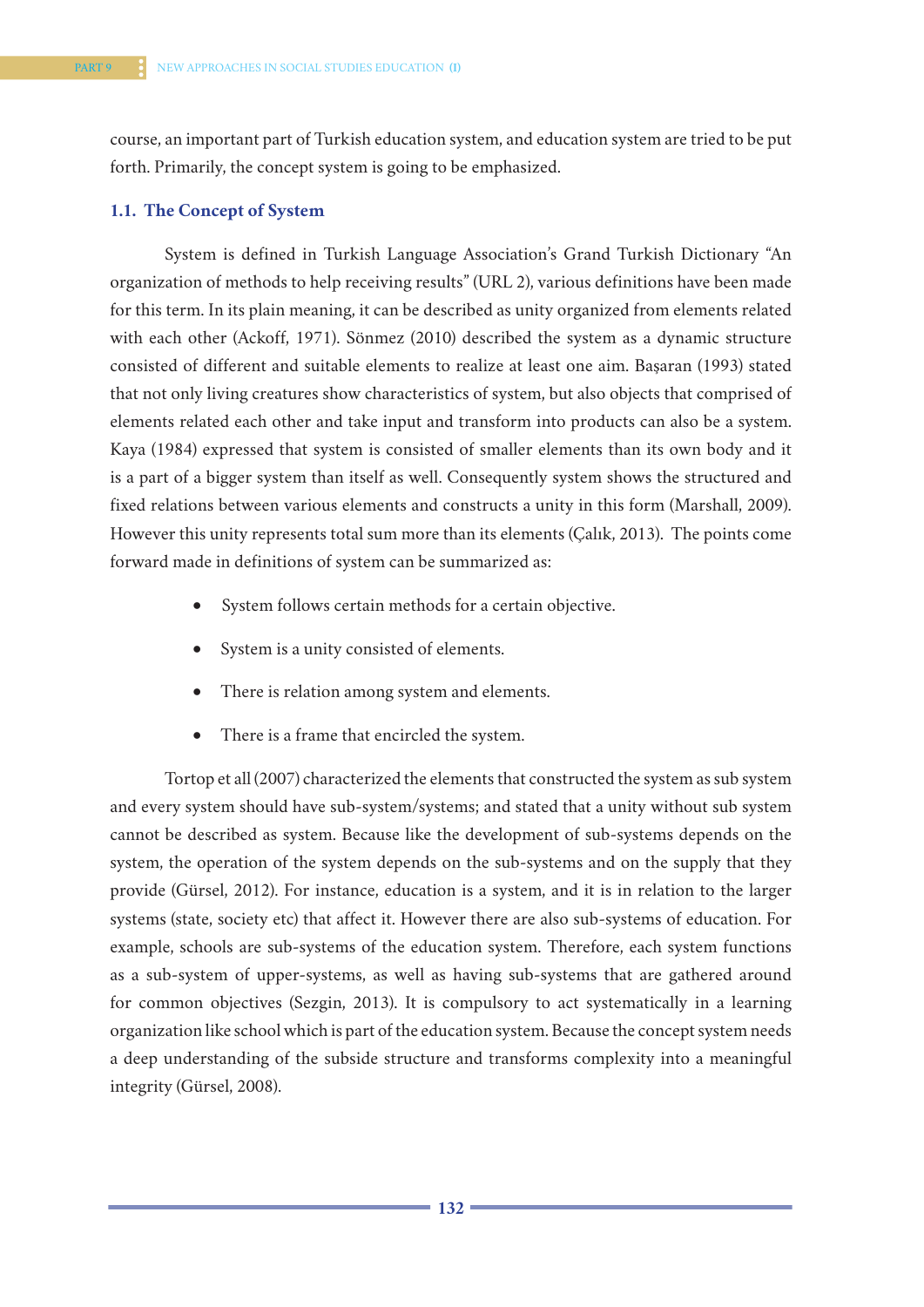course, an important part of Turkish education system, and education system are tried to be put forth. Primarily, the concept system is going to be emphasized.

#### **1.1. The Concept of System**

System is defined in Turkish Language Association's Grand Turkish Dictionary "An organization of methods to help receiving results" (URL 2), various definitions have been made for this term. In its plain meaning, it can be described as unity organized from elements related with each other (Ackoff, 1971). Sönmez (2010) described the system as a dynamic structure consisted of different and suitable elements to realize at least one aim. Başaran (1993) stated that not only living creatures show characteristics of system, but also objects that comprised of elements related each other and take input and transform into products can also be a system. Kaya (1984) expressed that system is consisted of smaller elements than its own body and it is a part of a bigger system than itself as well. Consequently system shows the structured and fixed relations between various elements and constructs a unity in this form (Marshall, 2009). However this unity represents total sum more than its elements (Çalık, 2013). The points come forward made in definitions of system can be summarized as:

- System follows certain methods for a certain objective.
- System is a unity consisted of elements.
- There is relation among system and elements.
- There is a frame that encircled the system.

Tortop et all (2007) characterized the elements that constructed the system as sub system and every system should have sub-system/systems; and stated that a unity without sub system cannot be described as system. Because like the development of sub-systems depends on the system, the operation of the system depends on the sub-systems and on the supply that they provide (Gürsel, 2012). For instance, education is a system, and it is in relation to the larger systems (state, society etc) that affect it. However there are also sub-systems of education. For example, schools are sub-systems of the education system. Therefore, each system functions as a sub-system of upper-systems, as well as having sub-systems that are gathered around for common objectives (Sezgin, 2013). It is compulsory to act systematically in a learning organization like school which is part of the education system. Because the concept system needs a deep understanding of the subside structure and transforms complexity into a meaningful integrity (Gürsel, 2008).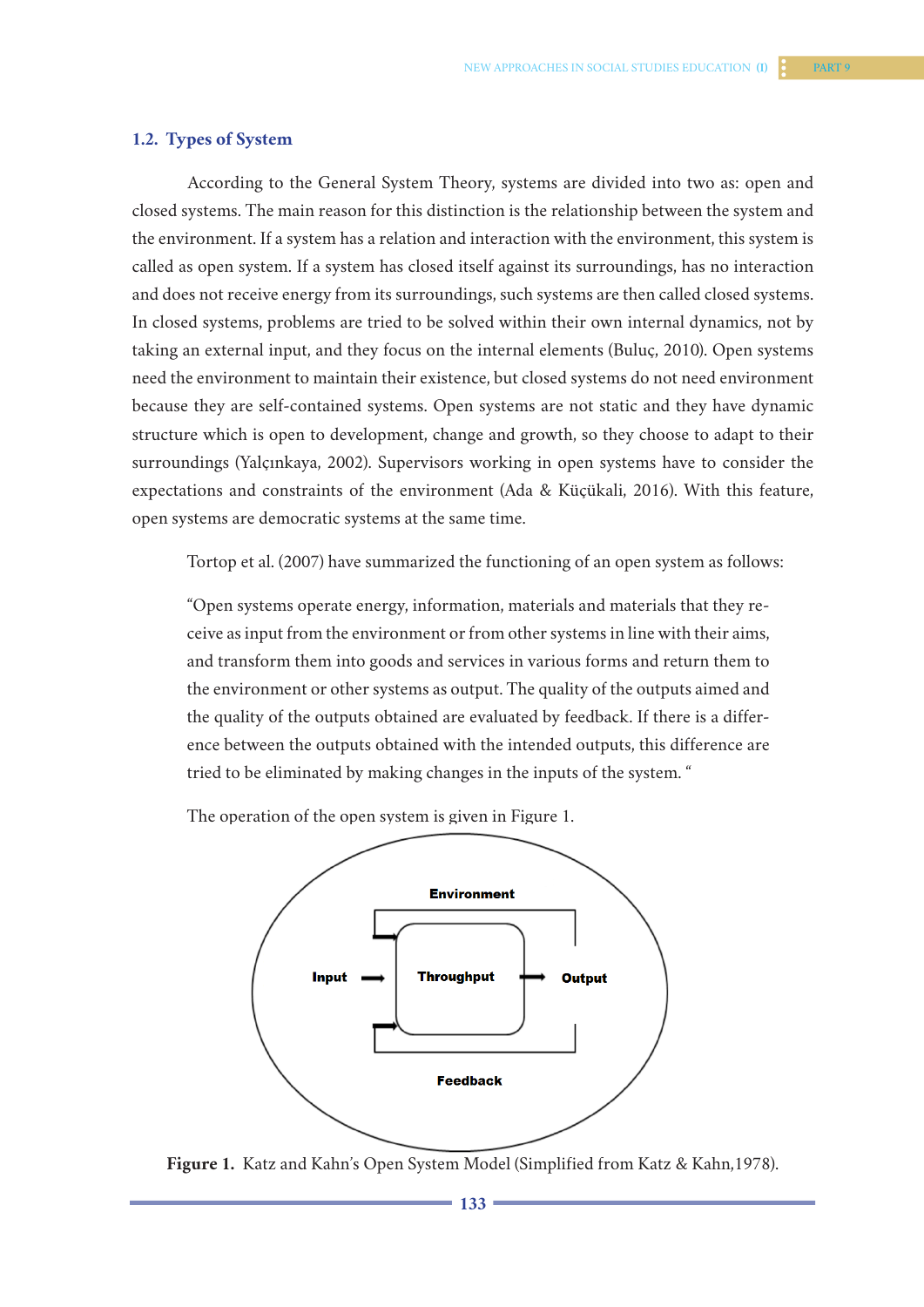#### **1.2. Types of System**

According to the General System Theory, systems are divided into two as: open and closed systems. The main reason for this distinction is the relationship between the system and the environment. If a system has a relation and interaction with the environment, this system is called as open system. If a system has closed itself against its surroundings, has no interaction and does not receive energy from its surroundings, such systems are then called closed systems. In closed systems, problems are tried to be solved within their own internal dynamics, not by taking an external input, and they focus on the internal elements (Buluç, 2010). Open systems need the environment to maintain their existence, but closed systems do not need environment because they are self-contained systems. Open systems are not static and they have dynamic structure which is open to development, change and growth, so they choose to adapt to their surroundings (Yalçınkaya, 2002). Supervisors working in open systems have to consider the expectations and constraints of the environment (Ada & Küçükali, 2016). With this feature, open systems are democratic systems at the same time.

Tortop et al. (2007) have summarized the functioning of an open system as follows:

"Open systems operate energy, information, materials and materials that they receive as input from the environment or from other systems in line with their aims, and transform them into goods and services in various forms and return them to the environment or other systems as output. The quality of the outputs aimed and the quality of the outputs obtained are evaluated by feedback. If there is a difference between the outputs obtained with the intended outputs, this difference are tried to be eliminated by making changes in the inputs of the system. "

The operation of the open system is given in Figure 1.



**Figure 1.** Katz and Kahn's Open System Model (Simplified from Katz & Kahn,1978).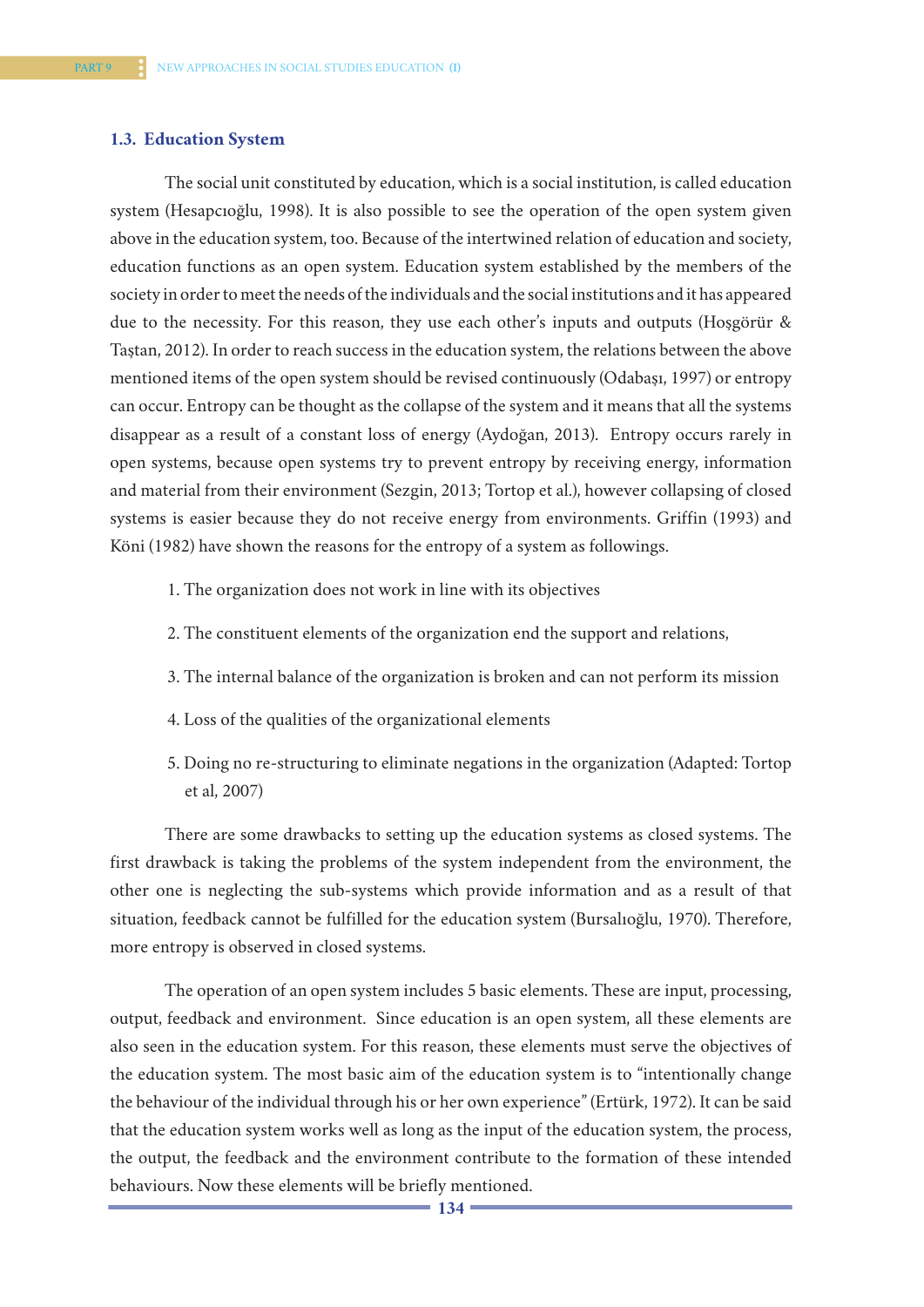#### **1.3. Education System**

The social unit constituted by education, which is a social institution, is called education system (Hesapcıoğlu, 1998). It is also possible to see the operation of the open system given above in the education system, too. Because of the intertwined relation of education and society, education functions as an open system. Education system established by the members of the society in order to meet the needs of the individuals and the social institutions and it has appeared due to the necessity. For this reason, they use each other's inputs and outputs (Hoşgörür & Taştan, 2012). In order to reach success in the education system, the relations between the above mentioned items of the open system should be revised continuously (Odabaşı, 1997) or entropy can occur. Entropy can be thought as the collapse of the system and it means that all the systems disappear as a result of a constant loss of energy (Aydoğan, 2013). Entropy occurs rarely in open systems, because open systems try to prevent entropy by receiving energy, information and material from their environment (Sezgin, 2013; Tortop et al.), however collapsing of closed systems is easier because they do not receive energy from environments. Griffin (1993) and Köni (1982) have shown the reasons for the entropy of a system as followings.

- 1. The organization does not work in line with its objectives
- 2. The constituent elements of the organization end the support and relations,
- 3. The internal balance of the organization is broken and can not perform its mission
- 4. Loss of the qualities of the organizational elements
- 5. Doing no re-structuring to eliminate negations in the organization (Adapted: Tortop et al, 2007)

There are some drawbacks to setting up the education systems as closed systems. The first drawback is taking the problems of the system independent from the environment, the other one is neglecting the sub-systems which provide information and as a result of that situation, feedback cannot be fulfilled for the education system (Bursalıoğlu, 1970). Therefore, more entropy is observed in closed systems.

The operation of an open system includes 5 basic elements. These are input, processing, output, feedback and environment. Since education is an open system, all these elements are also seen in the education system. For this reason, these elements must serve the objectives of the education system. The most basic aim of the education system is to "intentionally change the behaviour of the individual through his or her own experience" (Ertürk, 1972). It can be said that the education system works well as long as the input of the education system, the process, the output, the feedback and the environment contribute to the formation of these intended behaviours. Now these elements will be briefly mentioned.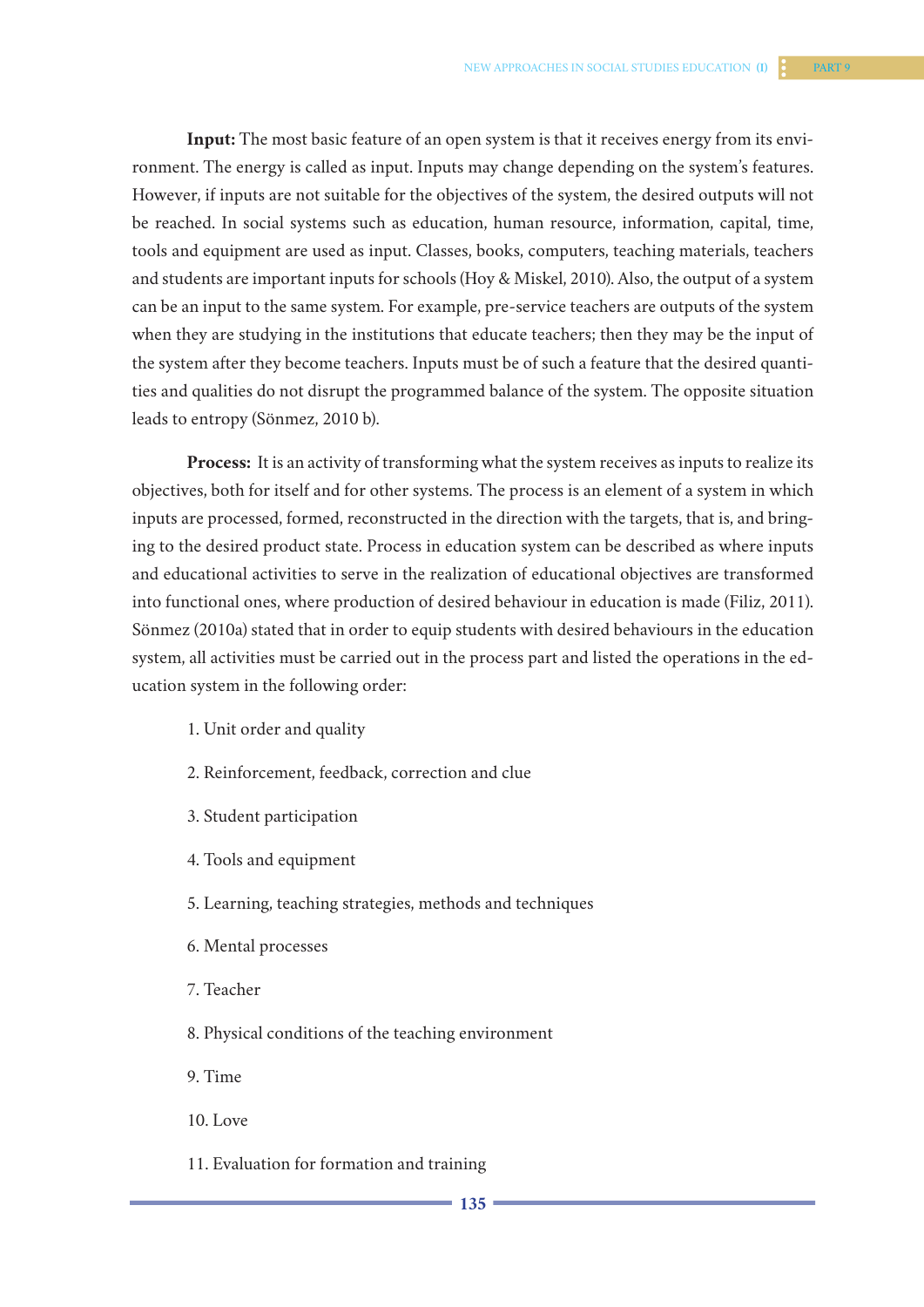**Input:** The most basic feature of an open system is that it receives energy from its environment. The energy is called as input. Inputs may change depending on the system's features. However, if inputs are not suitable for the objectives of the system, the desired outputs will not be reached. In social systems such as education, human resource, information, capital, time, tools and equipment are used as input. Classes, books, computers, teaching materials, teachers and students are important inputs for schools (Hoy & Miskel, 2010). Also, the output of a system can be an input to the same system. For example, pre-service teachers are outputs of the system when they are studying in the institutions that educate teachers; then they may be the input of the system after they become teachers. Inputs must be of such a feature that the desired quantities and qualities do not disrupt the programmed balance of the system. The opposite situation leads to entropy (Sönmez, 2010 b).

**Process:** It is an activity of transforming what the system receives as inputs to realize its objectives, both for itself and for other systems. The process is an element of a system in which inputs are processed, formed, reconstructed in the direction with the targets, that is, and bringing to the desired product state. Process in education system can be described as where inputs and educational activities to serve in the realization of educational objectives are transformed into functional ones, where production of desired behaviour in education is made (Filiz, 2011). Sönmez (2010a) stated that in order to equip students with desired behaviours in the education system, all activities must be carried out in the process part and listed the operations in the education system in the following order:

- 1. Unit order and quality
- 2. Reinforcement, feedback, correction and clue
- 3. Student participation
- 4. Tools and equipment
- 5. Learning, teaching strategies, methods and techniques
- 6. Mental processes
- 7. Teacher
- 8. Physical conditions of the teaching environment
- 9. Time
- 10. Love
- 11. Evaluation for formation and training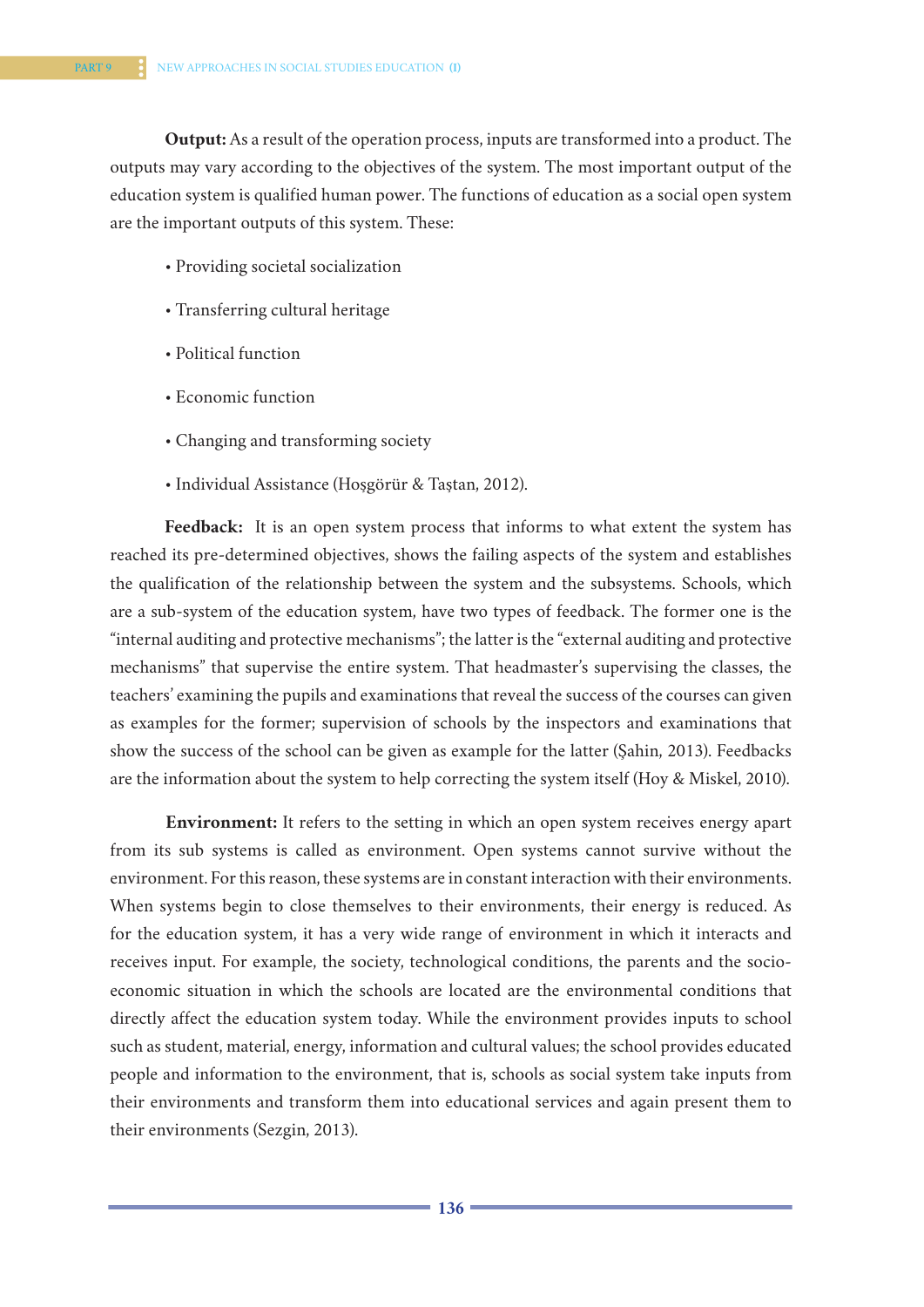**Output:** As a result of the operation process, inputs are transformed into a product. The outputs may vary according to the objectives of the system. The most important output of the education system is qualified human power. The functions of education as a social open system are the important outputs of this system. These:

- Providing societal socialization
- Transferring cultural heritage
- Political function
- Economic function
- Changing and transforming society
- Individual Assistance (Hoşgörür & Taştan, 2012).

**Feedback:** It is an open system process that informs to what extent the system has reached its pre-determined objectives, shows the failing aspects of the system and establishes the qualification of the relationship between the system and the subsystems. Schools, which are a sub-system of the education system, have two types of feedback. The former one is the "internal auditing and protective mechanisms"; the latter is the "external auditing and protective mechanisms" that supervise the entire system. That headmaster's supervising the classes, the teachers' examining the pupils and examinations that reveal the success of the courses can given as examples for the former; supervision of schools by the inspectors and examinations that show the success of the school can be given as example for the latter (Şahin, 2013). Feedbacks are the information about the system to help correcting the system itself (Hoy & Miskel, 2010).

**Environment:** It refers to the setting in which an open system receives energy apart from its sub systems is called as environment. Open systems cannot survive without the environment. For this reason, these systems are in constant interaction with their environments. When systems begin to close themselves to their environments, their energy is reduced. As for the education system, it has a very wide range of environment in which it interacts and receives input. For example, the society, technological conditions, the parents and the socioeconomic situation in which the schools are located are the environmental conditions that directly affect the education system today. While the environment provides inputs to school such as student, material, energy, information and cultural values; the school provides educated people and information to the environment, that is, schools as social system take inputs from their environments and transform them into educational services and again present them to their environments (Sezgin, 2013).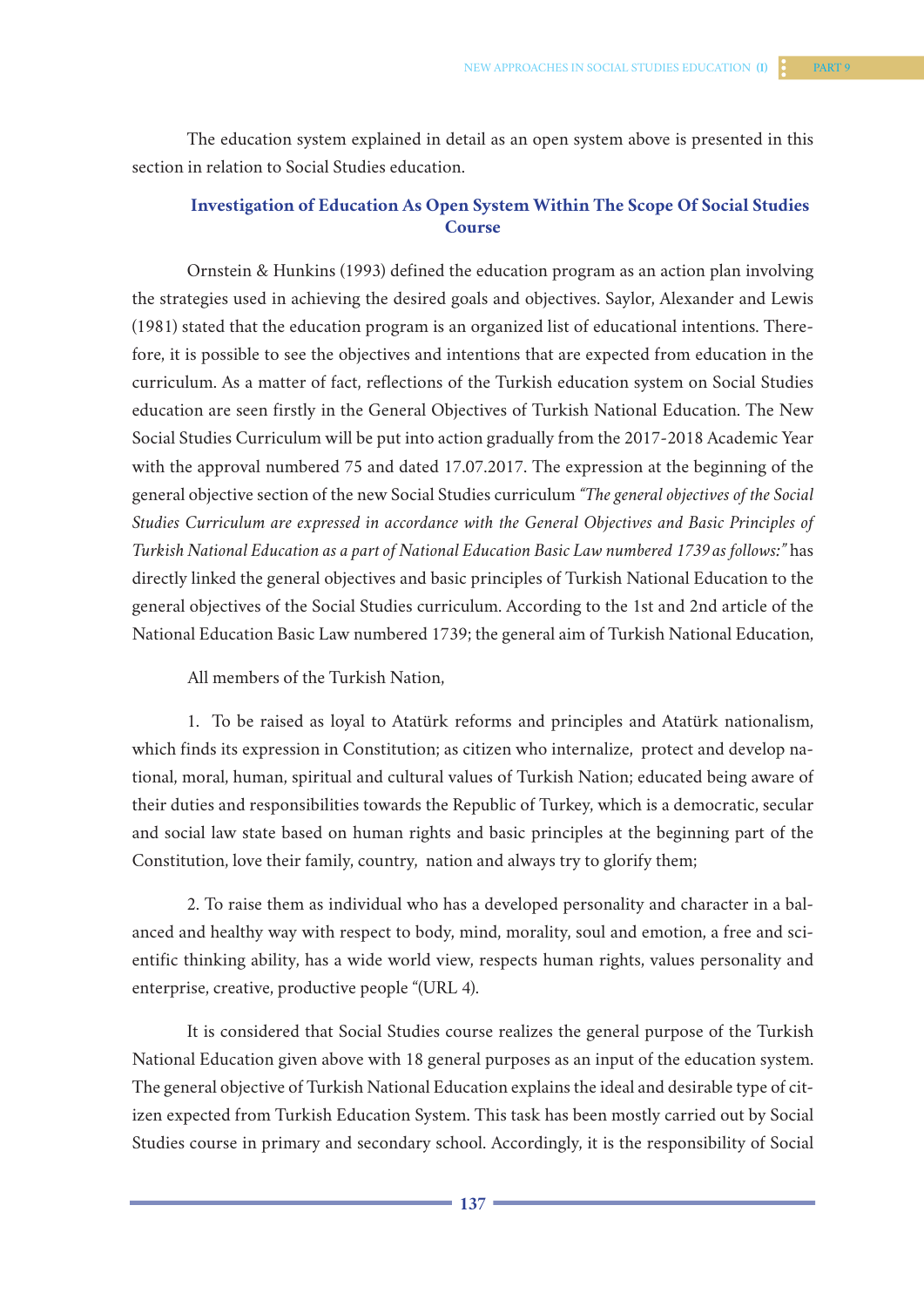The education system explained in detail as an open system above is presented in this section in relation to Social Studies education.

# **Investigation of Education As Open System Within The Scope Of Social Studies Course**

Ornstein & Hunkins (1993) defined the education program as an action plan involving the strategies used in achieving the desired goals and objectives. Saylor, Alexander and Lewis (1981) stated that the education program is an organized list of educational intentions. Therefore, it is possible to see the objectives and intentions that are expected from education in the curriculum. As a matter of fact, reflections of the Turkish education system on Social Studies education are seen firstly in the General Objectives of Turkish National Education. The New Social Studies Curriculum will be put into action gradually from the 2017-2018 Academic Year with the approval numbered 75 and dated 17.07.2017. The expression at the beginning of the general objective section of the new Social Studies curriculum *"The general objectives of the Social Studies Curriculum are expressed in accordance with the General Objectives and Basic Principles of Turkish National Education as a part of National Education Basic Law numbered 1739 as follows:"* has directly linked the general objectives and basic principles of Turkish National Education to the general objectives of the Social Studies curriculum. According to the 1st and 2nd article of the National Education Basic Law numbered 1739; the general aim of Turkish National Education,

All members of the Turkish Nation,

1. To be raised as loyal to Atatürk reforms and principles and Atatürk nationalism, which finds its expression in Constitution; as citizen who internalize, protect and develop national, moral, human, spiritual and cultural values of Turkish Nation; educated being aware of their duties and responsibilities towards the Republic of Turkey, which is a democratic, secular and social law state based on human rights and basic principles at the beginning part of the Constitution, love their family, country, nation and always try to glorify them;

2. To raise them as individual who has a developed personality and character in a balanced and healthy way with respect to body, mind, morality, soul and emotion, a free and scientific thinking ability, has a wide world view, respects human rights, values personality and enterprise, creative, productive people "(URL 4).

It is considered that Social Studies course realizes the general purpose of the Turkish National Education given above with 18 general purposes as an input of the education system. The general objective of Turkish National Education explains the ideal and desirable type of citizen expected from Turkish Education System. This task has been mostly carried out by Social Studies course in primary and secondary school. Accordingly, it is the responsibility of Social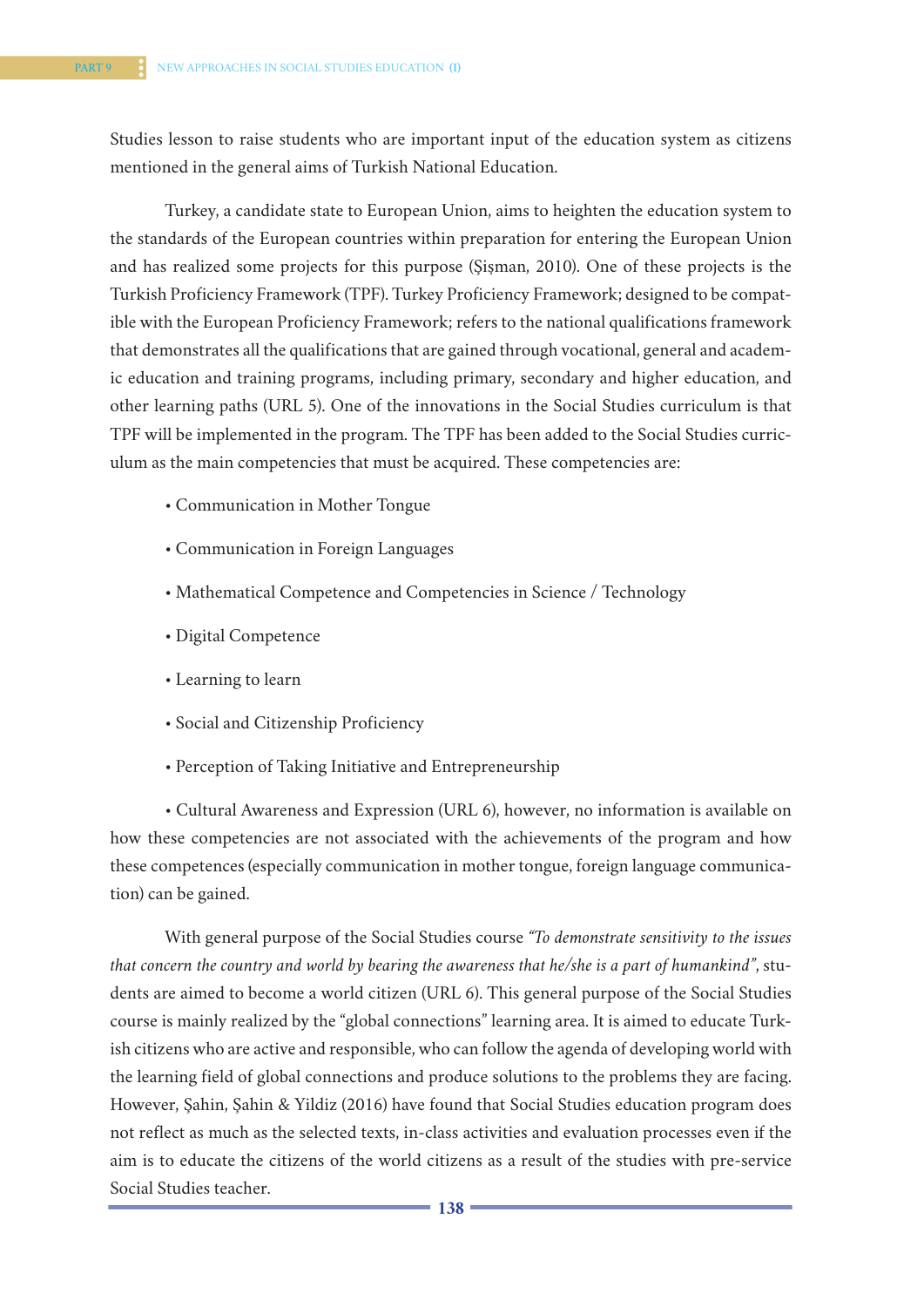Studies lesson to raise students who are important input of the education system as citizens mentioned in the general aims of Turkish National Education.

Turkey, a candidate state to European Union, aims to heighten the education system to the standards of the European countries within preparation for entering the European Union and has realized some projects for this purpose (Şişman, 2010). One of these projects is the Turkish Proficiency Framework (TPF). Turkey Proficiency Framework; designed to be compatible with the European Proficiency Framework; refers to the national qualifications framework that demonstrates all the qualifications that are gained through vocational, general and academic education and training programs, including primary, secondary and higher education, and other learning paths (URL 5). One of the innovations in the Social Studies curriculum is that TPF will be implemented in the program. The TPF has been added to the Social Studies curriculum as the main competencies that must be acquired. These competencies are:

- Communication in Mother Tongue
- Communication in Foreign Languages
- Mathematical Competence and Competencies in Science / Technology
- Digital Competence
- Learning to learn
- Social and Citizenship Proficiency
- Perception of Taking Initiative and Entrepreneurship

• Cultural Awareness and Expression (URL 6), however, no information is available on how these competencies are not associated with the achievements of the program and how these competences (especially communication in mother tongue, foreign language communication) can be gained.

With general purpose of the Social Studies course *"To demonstrate sensitivity to the issues that concern the country and world by bearing the awareness that he/she is a part of humankind"*, students are aimed to become a world citizen (URL 6). This general purpose of the Social Studies course is mainly realized by the "global connections" learning area. It is aimed to educate Turkish citizens who are active and responsible, who can follow the agenda of developing world with the learning field of global connections and produce solutions to the problems they are facing. However, Şahin, Şahin & Yildiz (2016) have found that Social Studies education program does not reflect as much as the selected texts, in-class activities and evaluation processes even if the aim is to educate the citizens of the world citizens as a result of the studies with pre-service Social Studies teacher.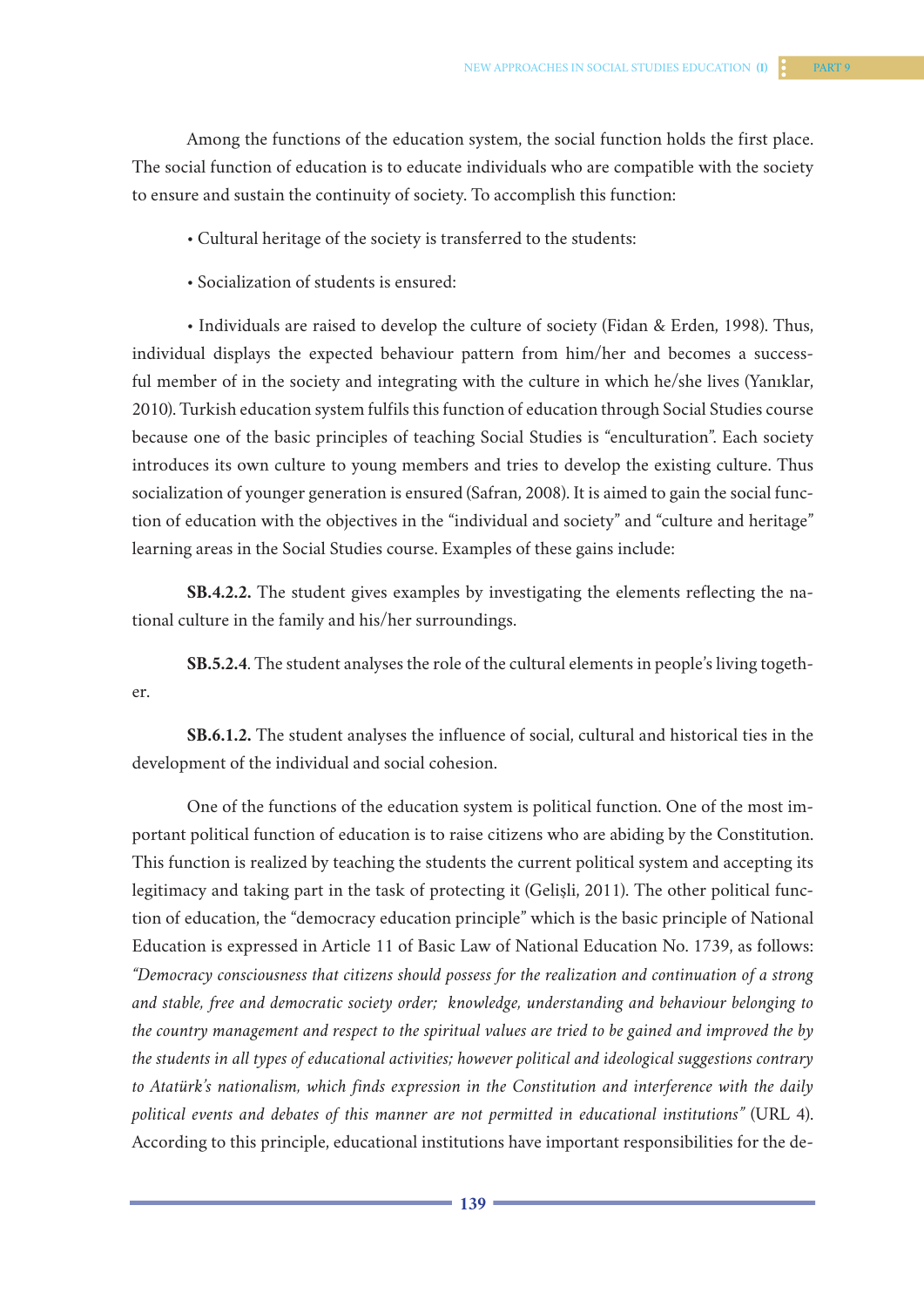Among the functions of the education system, the social function holds the first place. The social function of education is to educate individuals who are compatible with the society to ensure and sustain the continuity of society. To accomplish this function:

- Cultural heritage of the society is transferred to the students:
- Socialization of students is ensured:

• Individuals are raised to develop the culture of society (Fidan & Erden, 1998). Thus, individual displays the expected behaviour pattern from him/her and becomes a successful member of in the society and integrating with the culture in which he/she lives (Yanıklar, 2010). Turkish education system fulfils this function of education through Social Studies course because one of the basic principles of teaching Social Studies is "enculturation". Each society introduces its own culture to young members and tries to develop the existing culture. Thus socialization of younger generation is ensured (Safran, 2008). It is aimed to gain the social function of education with the objectives in the "individual and society" and "culture and heritage" learning areas in the Social Studies course. Examples of these gains include:

**SB.4.2.2.** The student gives examples by investigating the elements reflecting the national culture in the family and his/her surroundings.

**SB.5.2.4**. The student analyses the role of the cultural elements in people's living together.

**SB.6.1.2.** The student analyses the influence of social, cultural and historical ties in the development of the individual and social cohesion.

One of the functions of the education system is political function. One of the most important political function of education is to raise citizens who are abiding by the Constitution. This function is realized by teaching the students the current political system and accepting its legitimacy and taking part in the task of protecting it (Gelişli, 2011). The other political function of education, the "democracy education principle" which is the basic principle of National Education is expressed in Article 11 of Basic Law of National Education No. 1739, as follows: *"Democracy consciousness that citizens should possess for the realization and continuation of a strong and stable, free and democratic society order; knowledge, understanding and behaviour belonging to the country management and respect to the spiritual values are tried to be gained and improved the by the students in all types of educational activities; however political and ideological suggestions contrary to Atatürk's nationalism, which finds expression in the Constitution and interference with the daily political events and debates of this manner are not permitted in educational institutions"* (URL 4). According to this principle, educational institutions have important responsibilities for the de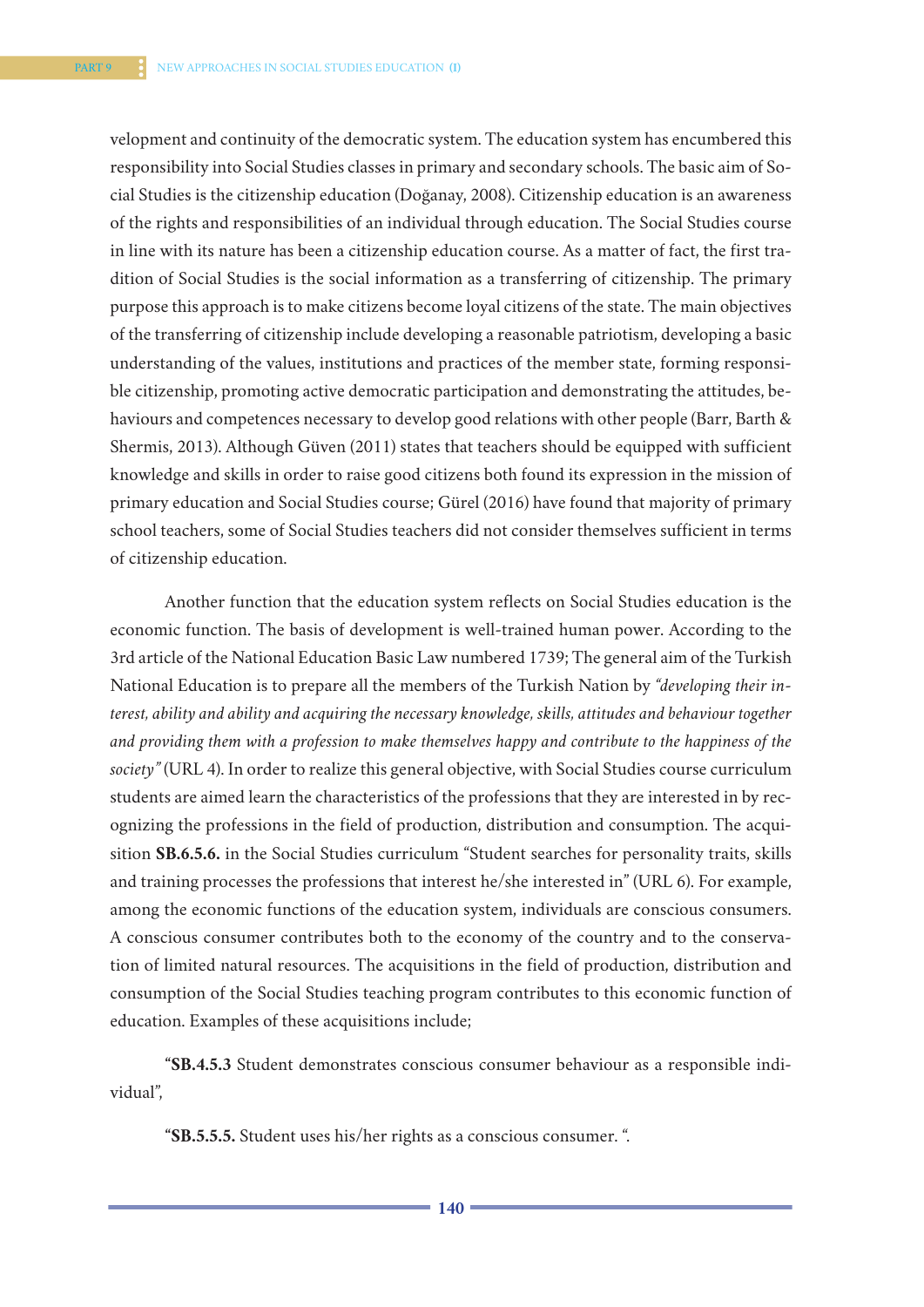velopment and continuity of the democratic system. The education system has encumbered this responsibility into Social Studies classes in primary and secondary schools. The basic aim of Social Studies is the citizenship education (Doğanay, 2008). Citizenship education is an awareness of the rights and responsibilities of an individual through education. The Social Studies course in line with its nature has been a citizenship education course. As a matter of fact, the first tradition of Social Studies is the social information as a transferring of citizenship. The primary purpose this approach is to make citizens become loyal citizens of the state. The main objectives of the transferring of citizenship include developing a reasonable patriotism, developing a basic understanding of the values, institutions and practices of the member state, forming responsible citizenship, promoting active democratic participation and demonstrating the attitudes, behaviours and competences necessary to develop good relations with other people (Barr, Barth & Shermis, 2013). Although Güven (2011) states that teachers should be equipped with sufficient knowledge and skills in order to raise good citizens both found its expression in the mission of primary education and Social Studies course; Gürel (2016) have found that majority of primary school teachers, some of Social Studies teachers did not consider themselves sufficient in terms of citizenship education.

Another function that the education system reflects on Social Studies education is the economic function. The basis of development is well-trained human power. According to the 3rd article of the National Education Basic Law numbered 1739; The general aim of the Turkish National Education is to prepare all the members of the Turkish Nation by *"developing their interest, ability and ability and acquiring the necessary knowledge, skills, attitudes and behaviour together and providing them with a profession to make themselves happy and contribute to the happiness of the society"* (URL 4). In order to realize this general objective, with Social Studies course curriculum students are aimed learn the characteristics of the professions that they are interested in by recognizing the professions in the field of production, distribution and consumption. The acquisition **SB.6.5.6.** in the Social Studies curriculum "Student searches for personality traits, skills and training processes the professions that interest he/she interested in" (URL 6). For example, among the economic functions of the education system, individuals are conscious consumers. A conscious consumer contributes both to the economy of the country and to the conservation of limited natural resources. The acquisitions in the field of production, distribution and consumption of the Social Studies teaching program contributes to this economic function of education. Examples of these acquisitions include;

**"SB.4.5.3** Student demonstrates conscious consumer behaviour as a responsible individual",

**"SB.5.5.5.** Student uses his/her rights as a conscious consumer. ".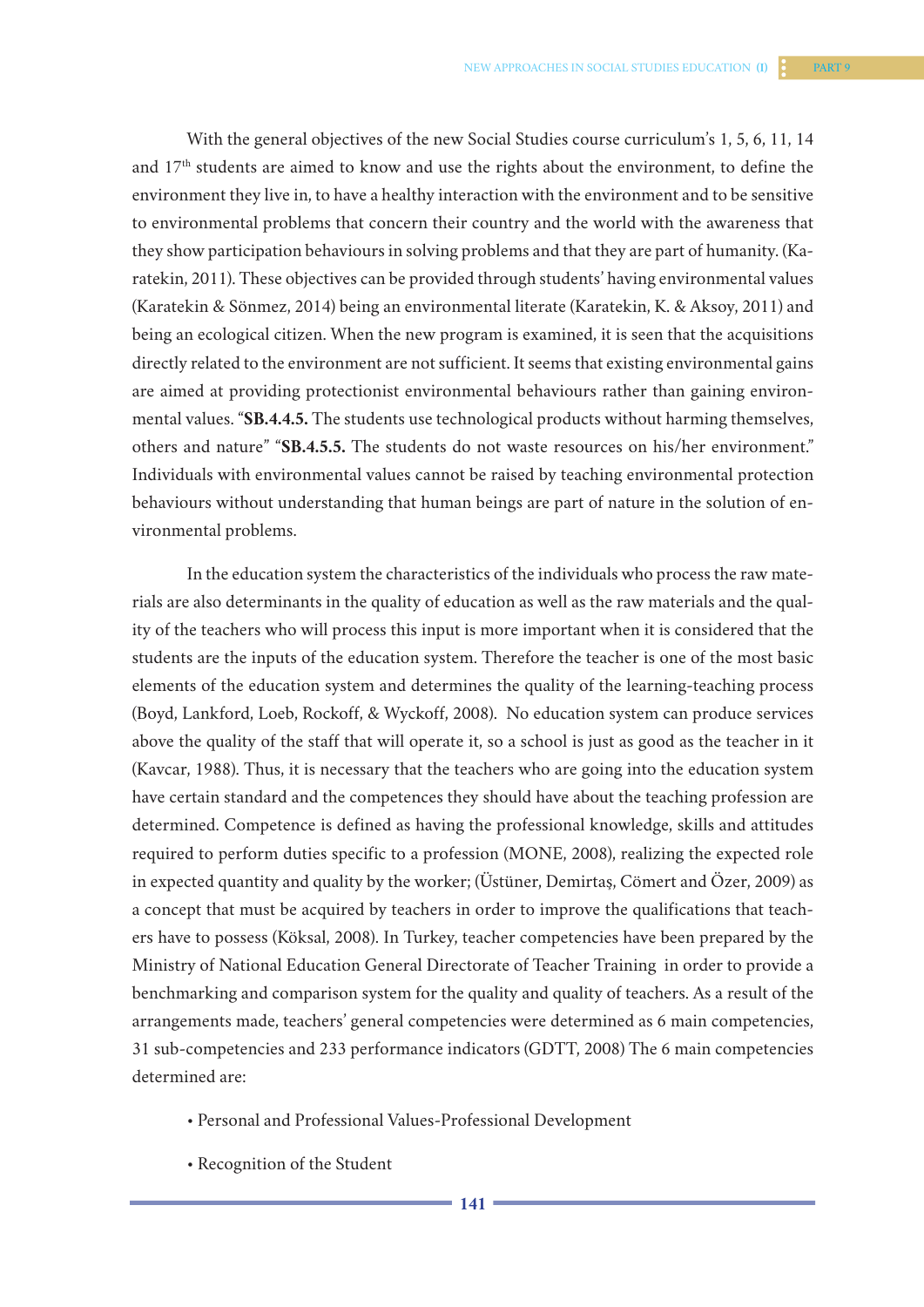With the general objectives of the new Social Studies course curriculum's 1, 5, 6, 11, 14 and 17th students are aimed to know and use the rights about the environment, to define the environment they live in, to have a healthy interaction with the environment and to be sensitive to environmental problems that concern their country and the world with the awareness that they show participation behaviours in solving problems and that they are part of humanity. (Karatekin, 2011). These objectives can be provided through students' having environmental values (Karatekin & Sönmez, 2014) being an environmental literate (Karatekin, K. & Aksoy, 2011) and being an ecological citizen. When the new program is examined, it is seen that the acquisitions directly related to the environment are not sufficient. It seems that existing environmental gains are aimed at providing protectionist environmental behaviours rather than gaining environmental values. "**SB.4.4.5.** The students use technological products without harming themselves, others and nature" "**SB.4.5.5.** The students do not waste resources on his/her environment." Individuals with environmental values cannot be raised by teaching environmental protection behaviours without understanding that human beings are part of nature in the solution of environmental problems.

In the education system the characteristics of the individuals who process the raw materials are also determinants in the quality of education as well as the raw materials and the quality of the teachers who will process this input is more important when it is considered that the students are the inputs of the education system. Therefore the teacher is one of the most basic elements of the education system and determines the quality of the learning-teaching process (Boyd, Lankford, Loeb, Rockoff, & Wyckoff, 2008). No education system can produce services above the quality of the staff that will operate it, so a school is just as good as the teacher in it (Kavcar, 1988). Thus, it is necessary that the teachers who are going into the education system have certain standard and the competences they should have about the teaching profession are determined. Competence is defined as having the professional knowledge, skills and attitudes required to perform duties specific to a profession (MONE, 2008), realizing the expected role in expected quantity and quality by the worker; (Üstüner, Demirtaş, Cömert and Özer, 2009) as a concept that must be acquired by teachers in order to improve the qualifications that teachers have to possess (Köksal, 2008). In Turkey, teacher competencies have been prepared by the Ministry of National Education General Directorate of Teacher Training in order to provide a benchmarking and comparison system for the quality and quality of teachers. As a result of the arrangements made, teachers' general competencies were determined as 6 main competencies, 31 sub-competencies and 233 performance indicators (GDTT, 2008) The 6 main competencies determined are:

- Personal and Professional Values-Professional Development
- Recognition of the Student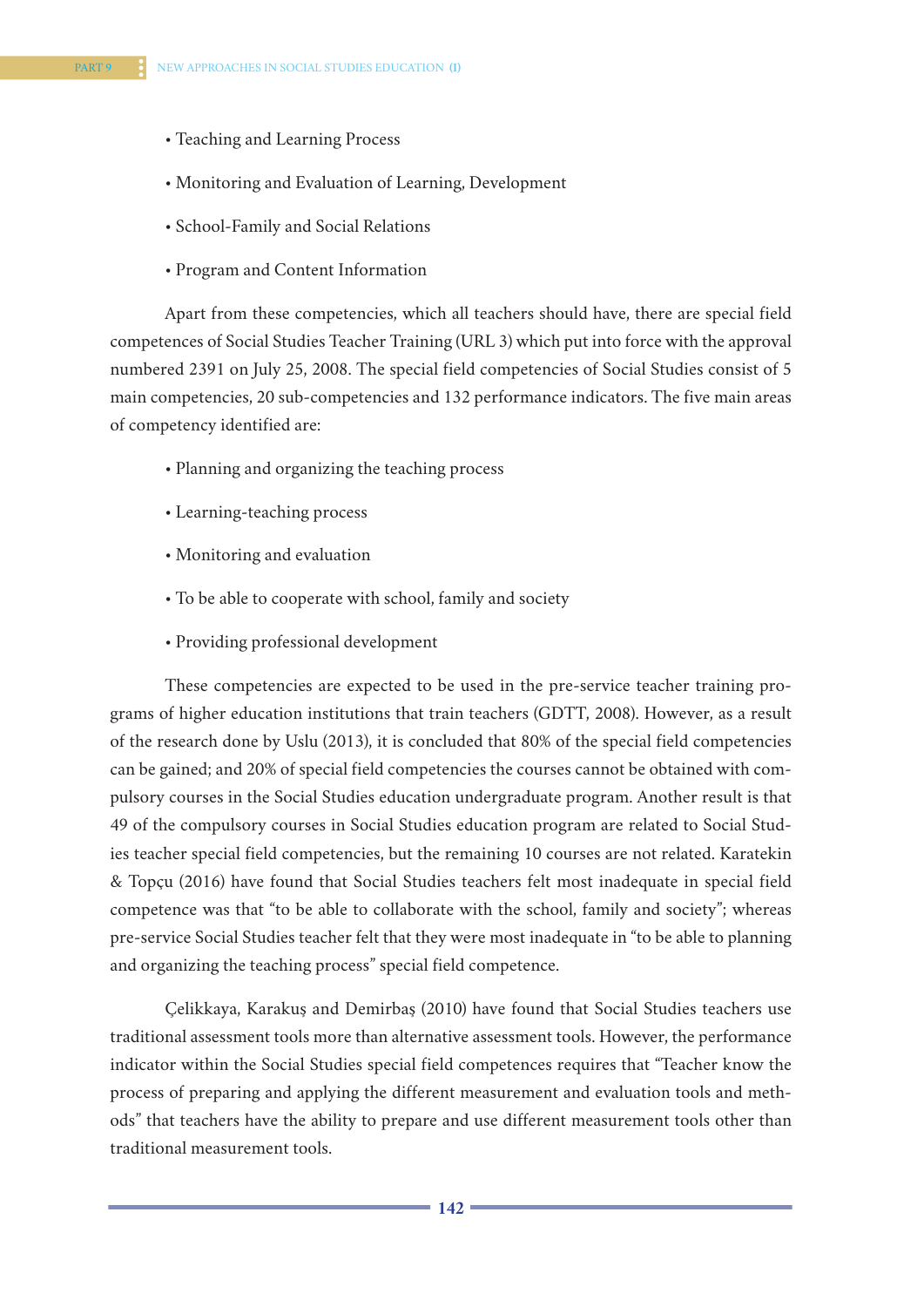- Teaching and Learning Process
- Monitoring and Evaluation of Learning, Development
- School-Family and Social Relations
- Program and Content Information

Apart from these competencies, which all teachers should have, there are special field competences of Social Studies Teacher Training (URL 3) which put into force with the approval numbered 2391 on July 25, 2008. The special field competencies of Social Studies consist of 5 main competencies, 20 sub-competencies and 132 performance indicators. The five main areas of competency identified are:

- Planning and organizing the teaching process
- Learning-teaching process
- Monitoring and evaluation
- To be able to cooperate with school, family and society
- Providing professional development

These competencies are expected to be used in the pre-service teacher training programs of higher education institutions that train teachers (GDTT, 2008). However, as a result of the research done by Uslu (2013), it is concluded that 80% of the special field competencies can be gained; and 20% of special field competencies the courses cannot be obtained with compulsory courses in the Social Studies education undergraduate program. Another result is that 49 of the compulsory courses in Social Studies education program are related to Social Studies teacher special field competencies, but the remaining 10 courses are not related. Karatekin & Topçu (2016) have found that Social Studies teachers felt most inadequate in special field competence was that "to be able to collaborate with the school, family and society"; whereas pre-service Social Studies teacher felt that they were most inadequate in "to be able to planning and organizing the teaching process" special field competence.

Çelikkaya, Karakuş and Demirbaş (2010) have found that Social Studies teachers use traditional assessment tools more than alternative assessment tools. However, the performance indicator within the Social Studies special field competences requires that "Teacher know the process of preparing and applying the different measurement and evaluation tools and methods" that teachers have the ability to prepare and use different measurement tools other than traditional measurement tools.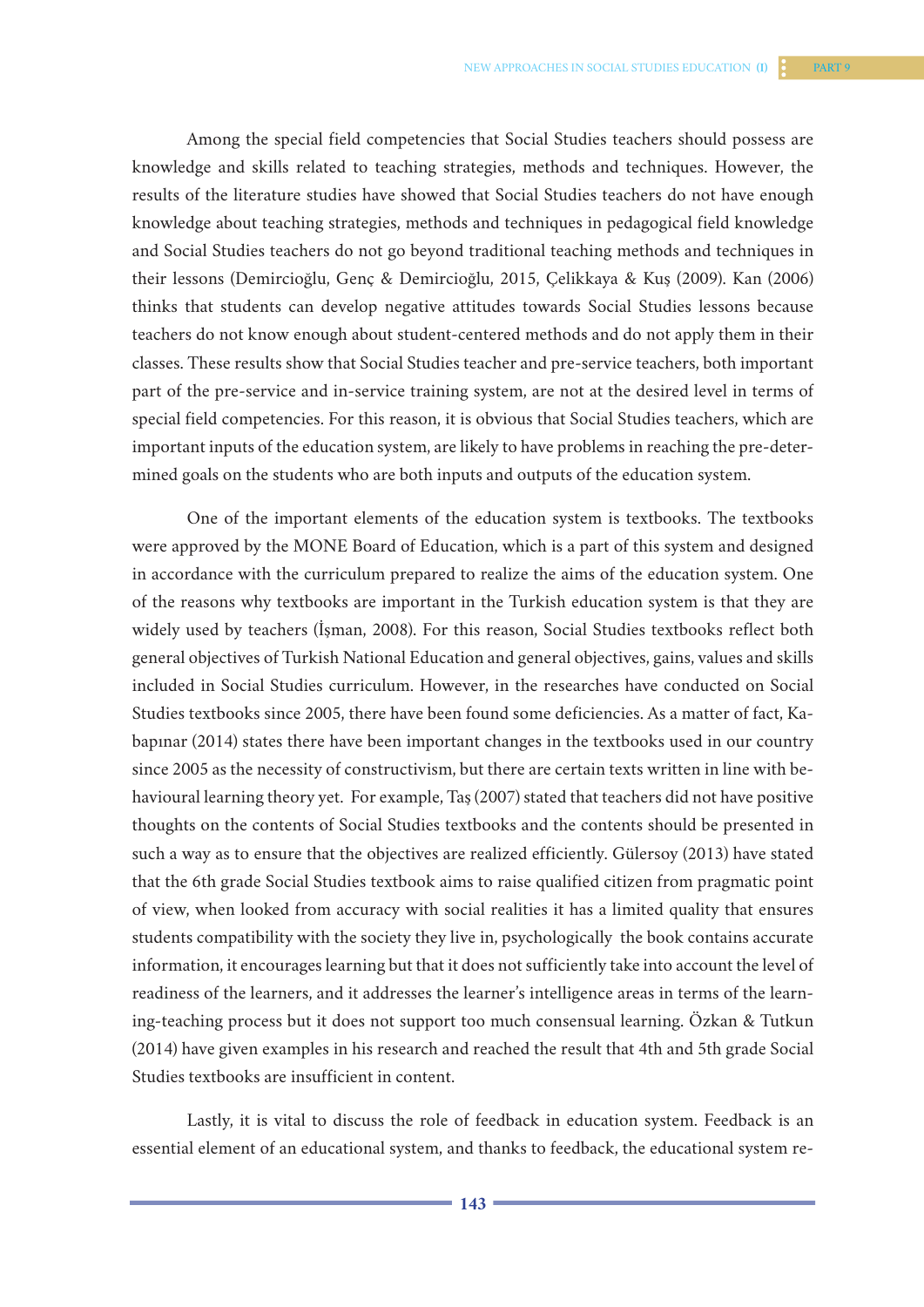Among the special field competencies that Social Studies teachers should possess are knowledge and skills related to teaching strategies, methods and techniques. However, the results of the literature studies have showed that Social Studies teachers do not have enough knowledge about teaching strategies, methods and techniques in pedagogical field knowledge and Social Studies teachers do not go beyond traditional teaching methods and techniques in their lessons (Demircioğlu, Genç & Demircioğlu, 2015, Çelikkaya & Kuş (2009). Kan (2006) thinks that students can develop negative attitudes towards Social Studies lessons because teachers do not know enough about student-centered methods and do not apply them in their classes. These results show that Social Studies teacher and pre-service teachers, both important part of the pre-service and in-service training system, are not at the desired level in terms of special field competencies. For this reason, it is obvious that Social Studies teachers, which are important inputs of the education system, are likely to have problems in reaching the pre-determined goals on the students who are both inputs and outputs of the education system.

One of the important elements of the education system is textbooks. The textbooks were approved by the MONE Board of Education, which is a part of this system and designed in accordance with the curriculum prepared to realize the aims of the education system. One of the reasons why textbooks are important in the Turkish education system is that they are widely used by teachers (İşman, 2008). For this reason, Social Studies textbooks reflect both general objectives of Turkish National Education and general objectives, gains, values and skills included in Social Studies curriculum. However, in the researches have conducted on Social Studies textbooks since 2005, there have been found some deficiencies. As a matter of fact, Kabapınar (2014) states there have been important changes in the textbooks used in our country since 2005 as the necessity of constructivism, but there are certain texts written in line with behavioural learning theory yet. For example, Taş (2007) stated that teachers did not have positive thoughts on the contents of Social Studies textbooks and the contents should be presented in such a way as to ensure that the objectives are realized efficiently. Gülersoy (2013) have stated that the 6th grade Social Studies textbook aims to raise qualified citizen from pragmatic point of view, when looked from accuracy with social realities it has a limited quality that ensures students compatibility with the society they live in, psychologically the book contains accurate information, it encourages learning but that it does not sufficiently take into account the level of readiness of the learners, and it addresses the learner's intelligence areas in terms of the learning-teaching process but it does not support too much consensual learning. Özkan & Tutkun (2014) have given examples in his research and reached the result that 4th and 5th grade Social Studies textbooks are insufficient in content.

Lastly, it is vital to discuss the role of feedback in education system. Feedback is an essential element of an educational system, and thanks to feedback, the educational system re-

**142 143**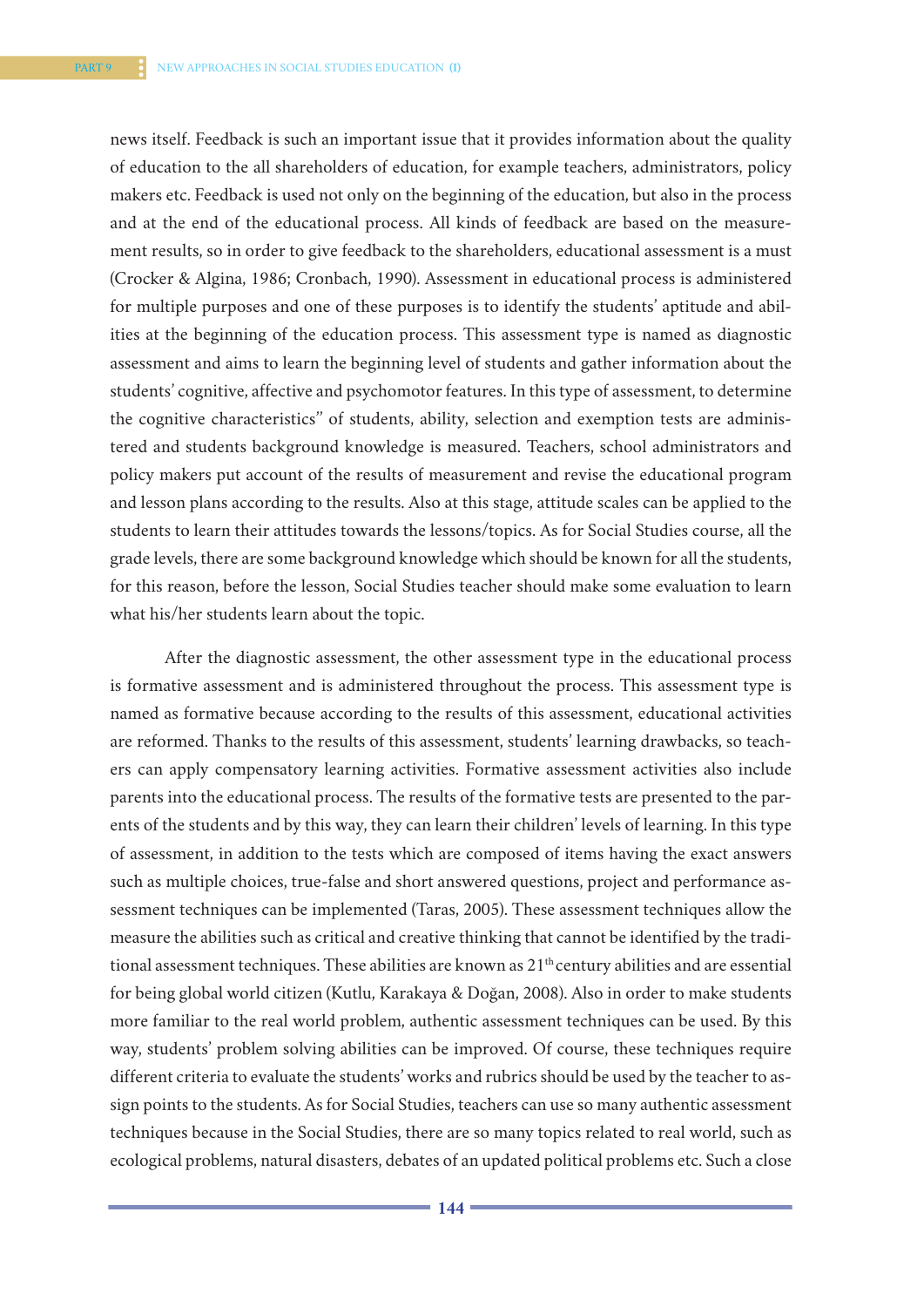news itself. Feedback is such an important issue that it provides information about the quality of education to the all shareholders of education, for example teachers, administrators, policy makers etc. Feedback is used not only on the beginning of the education, but also in the process and at the end of the educational process. All kinds of feedback are based on the measurement results, so in order to give feedback to the shareholders, educational assessment is a must (Crocker & Algina, 1986; Cronbach, 1990). Assessment in educational process is administered for multiple purposes and one of these purposes is to identify the students' aptitude and abilities at the beginning of the education process. This assessment type is named as diagnostic assessment and aims to learn the beginning level of students and gather information about the students' cognitive, affective and psychomotor features. In this type of assessment, to determine the cognitive characteristics'' of students, ability, selection and exemption tests are administered and students background knowledge is measured. Teachers, school administrators and policy makers put account of the results of measurement and revise the educational program and lesson plans according to the results. Also at this stage, attitude scales can be applied to the students to learn their attitudes towards the lessons/topics. As for Social Studies course, all the grade levels, there are some background knowledge which should be known for all the students, for this reason, before the lesson, Social Studies teacher should make some evaluation to learn what his/her students learn about the topic.

After the diagnostic assessment, the other assessment type in the educational process is formative assessment and is administered throughout the process. This assessment type is named as formative because according to the results of this assessment, educational activities are reformed. Thanks to the results of this assessment, students' learning drawbacks, so teachers can apply compensatory learning activities. Formative assessment activities also include parents into the educational process. The results of the formative tests are presented to the parents of the students and by this way, they can learn their children' levels of learning. In this type of assessment, in addition to the tests which are composed of items having the exact answers such as multiple choices, true-false and short answered questions, project and performance assessment techniques can be implemented (Taras, 2005). These assessment techniques allow the measure the abilities such as critical and creative thinking that cannot be identified by the traditional assessment techniques. These abilities are known as 21<sup>th</sup> century abilities and are essential for being global world citizen (Kutlu, Karakaya & Doğan, 2008). Also in order to make students more familiar to the real world problem, authentic assessment techniques can be used. By this way, students' problem solving abilities can be improved. Of course, these techniques require different criteria to evaluate the students' works and rubrics should be used by the teacher to assign points to the students. As for Social Studies, teachers can use so many authentic assessment techniques because in the Social Studies, there are so many topics related to real world, such as ecological problems, natural disasters, debates of an updated political problems etc. Such a close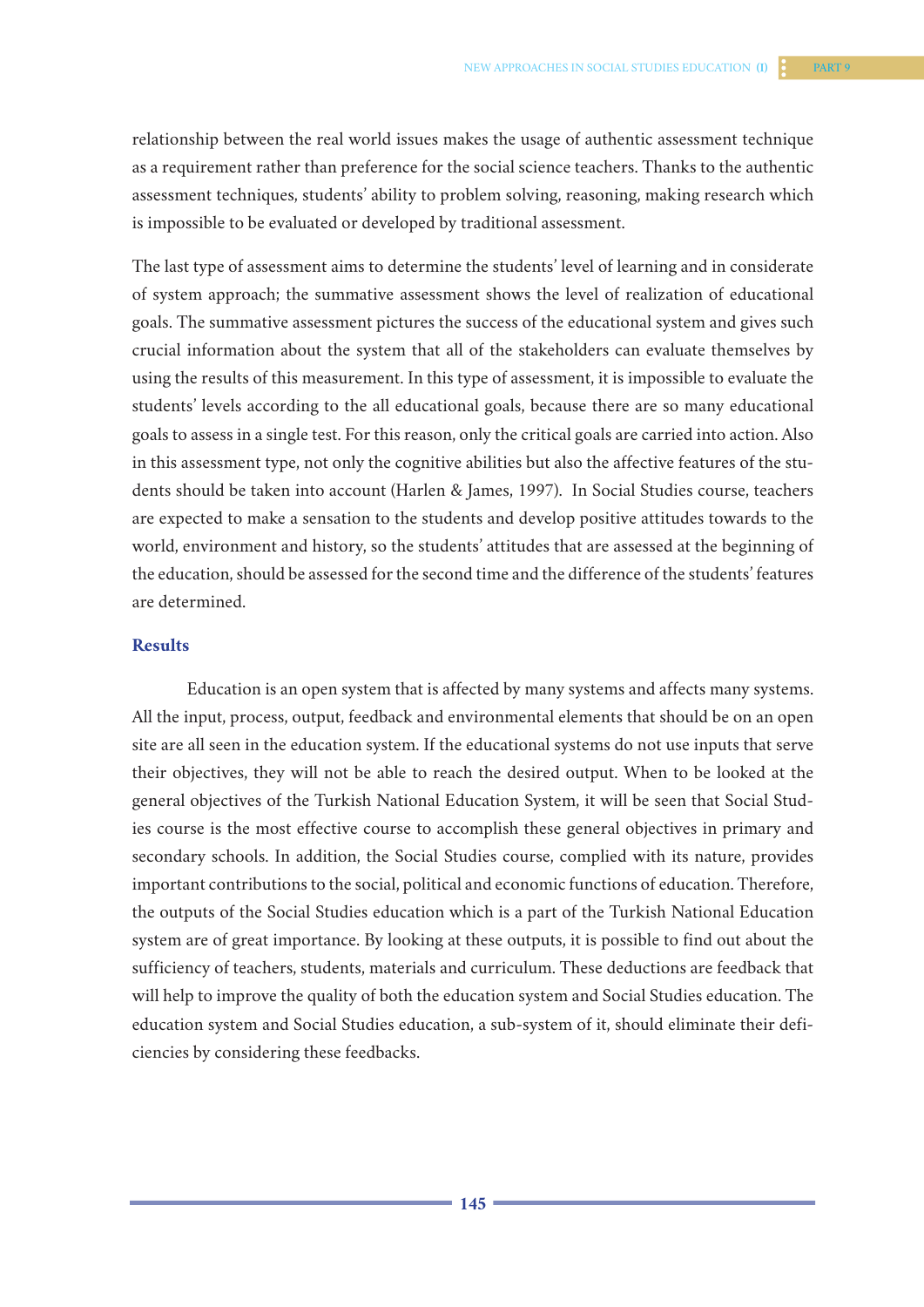relationship between the real world issues makes the usage of authentic assessment technique as a requirement rather than preference for the social science teachers. Thanks to the authentic assessment techniques, students' ability to problem solving, reasoning, making research which is impossible to be evaluated or developed by traditional assessment.

The last type of assessment aims to determine the students' level of learning and in considerate of system approach; the summative assessment shows the level of realization of educational goals. The summative assessment pictures the success of the educational system and gives such crucial information about the system that all of the stakeholders can evaluate themselves by using the results of this measurement. In this type of assessment, it is impossible to evaluate the students' levels according to the all educational goals, because there are so many educational goals to assess in a single test. For this reason, only the critical goals are carried into action. Also in this assessment type, not only the cognitive abilities but also the affective features of the students should be taken into account (Harlen & James, 1997). In Social Studies course, teachers are expected to make a sensation to the students and develop positive attitudes towards to the world, environment and history, so the students' attitudes that are assessed at the beginning of the education, should be assessed for the second time and the difference of the students' features are determined.

## **Results**

Education is an open system that is affected by many systems and affects many systems. All the input, process, output, feedback and environmental elements that should be on an open site are all seen in the education system. If the educational systems do not use inputs that serve their objectives, they will not be able to reach the desired output. When to be looked at the general objectives of the Turkish National Education System, it will be seen that Social Studies course is the most effective course to accomplish these general objectives in primary and secondary schools. In addition, the Social Studies course, complied with its nature, provides important contributions to the social, political and economic functions of education. Therefore, the outputs of the Social Studies education which is a part of the Turkish National Education system are of great importance. By looking at these outputs, it is possible to find out about the sufficiency of teachers, students, materials and curriculum. These deductions are feedback that will help to improve the quality of both the education system and Social Studies education. The education system and Social Studies education, a sub-system of it, should eliminate their deficiencies by considering these feedbacks.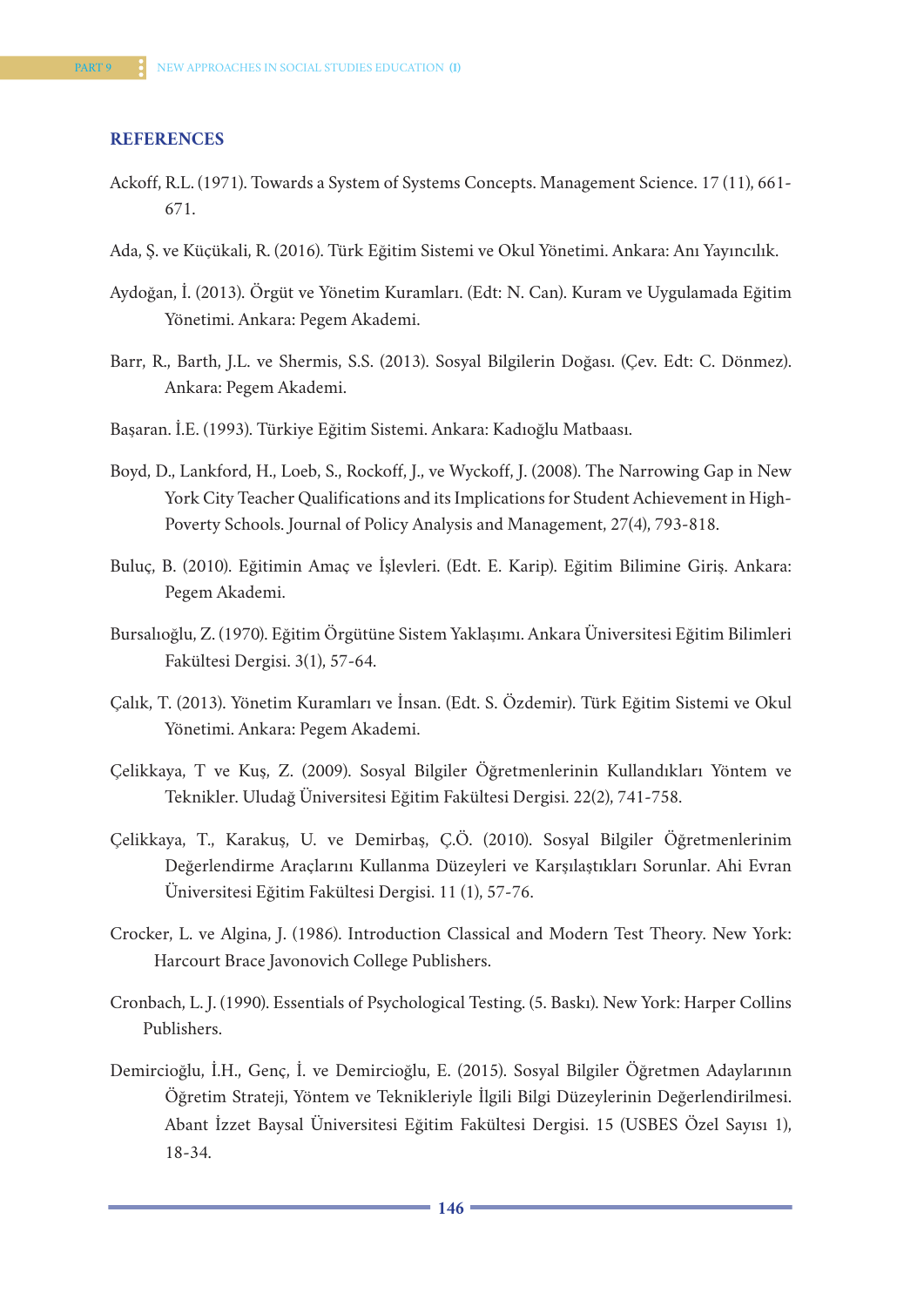#### **REFERENCES**

- Ackoff, R.L. (1971). Towards a System of Systems Concepts. Management Science. 17 (11), 661- 671.
- Ada, Ş. ve Küçükali, R. (2016). Türk Eğitim Sistemi ve Okul Yönetimi. Ankara: Anı Yayıncılık.
- Aydoğan, İ. (2013). Örgüt ve Yönetim Kuramları. (Edt: N. Can). Kuram ve Uygulamada Eğitim Yönetimi. Ankara: Pegem Akademi.
- Barr, R., Barth, J.L. ve Shermis, S.S. (2013). Sosyal Bilgilerin Doğası. (Çev. Edt: C. Dönmez). Ankara: Pegem Akademi.
- Başaran. İ.E. (1993). Türkiye Eğitim Sistemi. Ankara: Kadıoğlu Matbaası.
- Boyd, D., Lankford, H., Loeb, S., Rockoff, J., ve Wyckoff, J. (2008). The Narrowing Gap in New York City Teacher Qualifications and its Implications for Student Achievement in High-Poverty Schools. Journal of Policy Analysis and Management, 27(4), 793-818.
- Buluç, B. (2010). Eğitimin Amaç ve İşlevleri. (Edt. E. Karip). Eğitim Bilimine Giriş. Ankara: Pegem Akademi.
- Bursalıoğlu, Z. (1970). Eğitim Örgütüne Sistem Yaklaşımı. Ankara Üniversitesi Eğitim Bilimleri Fakültesi Dergisi. 3(1), 57-64.
- Çalık, T. (2013). Yönetim Kuramları ve İnsan. (Edt. S. Özdemir). Türk Eğitim Sistemi ve Okul Yönetimi. Ankara: Pegem Akademi.
- Çelikkaya, T ve Kuş, Z. (2009). Sosyal Bilgiler Öğretmenlerinin Kullandıkları Yöntem ve Teknikler. Uludağ Üniversitesi Eğitim Fakültesi Dergisi. 22(2), 741-758.
- Çelikkaya, T., Karakuş, U. ve Demirbaş, Ç.Ö. (2010). Sosyal Bilgiler Öğretmenlerinim Değerlendirme Araçlarını Kullanma Düzeyleri ve Karşılaştıkları Sorunlar. Ahi Evran Üniversitesi Eğitim Fakültesi Dergisi. 11 (1), 57-76.
- Crocker, L. ve Algina, J. (1986). Introduction Classical and Modern Test Theory. New York: Harcourt Brace Javonovich College Publishers.
- Cronbach, L. J. (1990). Essentials of Psychological Testing. (5. Baskı). New York: Harper Collins Publishers.
- Demircioğlu, İ.H., Genç, İ. ve Demircioğlu, E. (2015). Sosyal Bilgiler Öğretmen Adaylarının Öğretim Strateji, Yöntem ve Teknikleriyle İlgili Bilgi Düzeylerinin Değerlendirilmesi. Abant İzzet Baysal Üniversitesi Eğitim Fakültesi Dergisi. 15 (USBES Özel Sayısı 1), 18-34.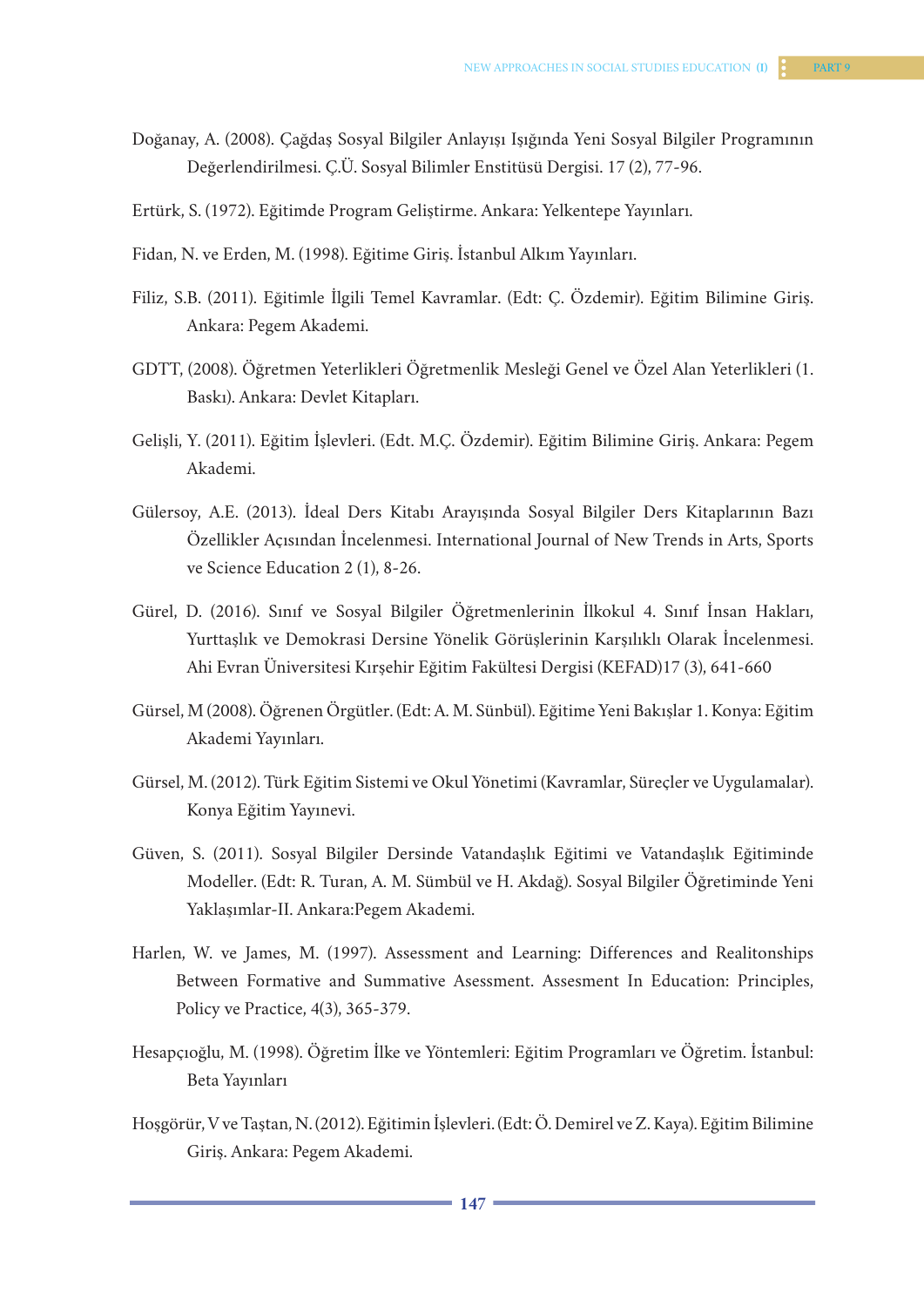- Doğanay, A. (2008). Çağdaş Sosyal Bilgiler Anlayışı Işığında Yeni Sosyal Bilgiler Programının Değerlendirilmesi. Ç.Ü. Sosyal Bilimler Enstitüsü Dergisi. 17 (2), 77-96.
- Ertürk, S. (1972). Eğitimde Program Geliştirme. Ankara: Yelkentepe Yayınları.
- Fidan, N. ve Erden, M. (1998). Eğitime Giriş. İstanbul Alkım Yayınları.
- Filiz, S.B. (2011). Eğitimle İlgili Temel Kavramlar. (Edt: Ç. Özdemir). Eğitim Bilimine Giriş. Ankara: Pegem Akademi.
- GDTT, (2008). Öğretmen Yeterlikleri Öğretmenlik Mesleği Genel ve Özel Alan Yeterlikleri (1. Baskı). Ankara: Devlet Kitapları.
- Gelişli, Y. (2011). Eğitim İşlevleri. (Edt. M.Ç. Özdemir). Eğitim Bilimine Giriş. Ankara: Pegem Akademi.
- Gülersoy, A.E. (2013). İdeal Ders Kitabı Arayışında Sosyal Bilgiler Ders Kitaplarının Bazı Özellikler Açısından İncelenmesi. International Journal of New Trends in Arts, Sports ve Science Education 2 (1), 8-26.
- Gürel, D. (2016). Sınıf ve Sosyal Bilgiler Öğretmenlerinin İlkokul 4. Sınıf İnsan Hakları, Yurttaşlık ve Demokrasi Dersine Yönelik Görüşlerinin Karşılıklı Olarak İncelenmesi. Ahi Evran Üniversitesi Kırşehir Eğitim Fakültesi Dergisi (KEFAD)17 (3), 641-660
- Gürsel, M (2008). Öğrenen Örgütler. (Edt: A. M. Sünbül). Eğitime Yeni Bakışlar 1. Konya: Eğitim Akademi Yayınları.
- Gürsel, M. (2012). Türk Eğitim Sistemi ve Okul Yönetimi (Kavramlar, Süreçler ve Uygulamalar). Konya Eğitim Yayınevi.
- Güven, S. (2011). Sosyal Bilgiler Dersinde Vatandaşlık Eğitimi ve Vatandaşlık Eğitiminde Modeller. (Edt: R. Turan, A. M. Sümbül ve H. Akdağ). Sosyal Bilgiler Öğretiminde Yeni Yaklaşımlar-II. Ankara:Pegem Akademi.
- Harlen, W. ve James, M. (1997). Assessment and Learning: Differences and Realitonships Between Formative and Summative Asessment. Assesment In Education: Principles, Policy ve Practice, 4(3), 365-379.
- Hesapçıoğlu, M. (1998). Öğretim İlke ve Yöntemleri: Eğitim Programları ve Öğretim. İstanbul: Beta Yayınları
- Hoşgörür, V ve Taştan, N. (2012). Eğitimin İşlevleri. (Edt: Ö. Demirel ve Z. Kaya). Eğitim Bilimine Giriş. Ankara: Pegem Akademi.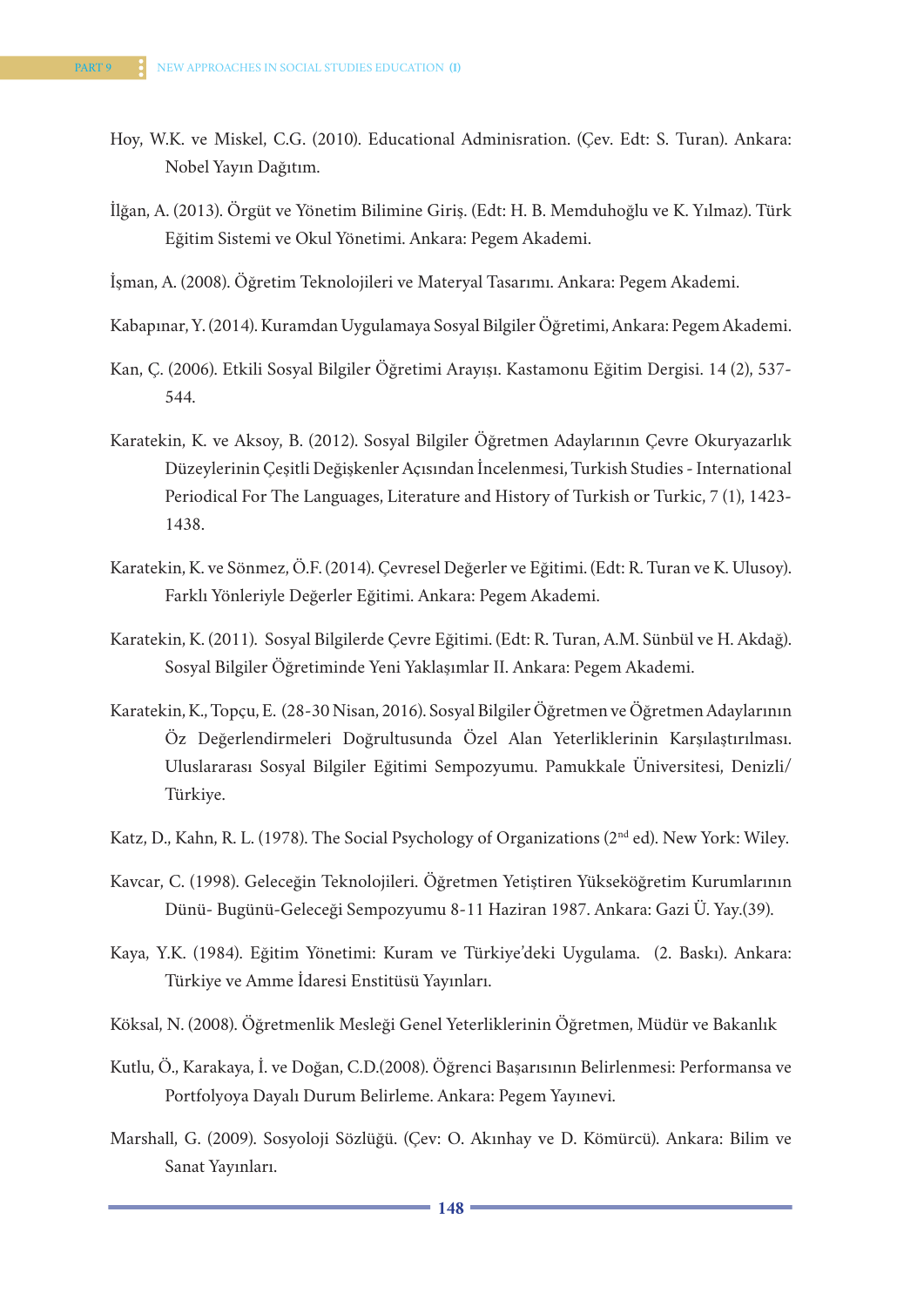- Hoy, W.K. ve Miskel, C.G. (2010). Educational Adminisration. (Çev. Edt: S. Turan). Ankara: Nobel Yayın Dağıtım.
- İlğan, A. (2013). Örgüt ve Yönetim Bilimine Giriş. (Edt: H. B. Memduhoğlu ve K. Yılmaz). Türk Eğitim Sistemi ve Okul Yönetimi. Ankara: Pegem Akademi.
- İşman, A. (2008). Öğretim Teknolojileri ve Materyal Tasarımı. Ankara: Pegem Akademi.
- Kabapınar, Y. (2014). Kuramdan Uygulamaya Sosyal Bilgiler Öğretimi, Ankara: Pegem Akademi.
- Kan, Ç. (2006). Etkili Sosyal Bilgiler Öğretimi Arayışı. Kastamonu Eğitim Dergisi. 14 (2), 537- 544.
- Karatekin, K. ve Aksoy, B. (2012). Sosyal Bilgiler Öğretmen Adaylarının Çevre Okuryazarlık Düzeylerinin Çeşitli Değişkenler Açısından İncelenmesi, Turkish Studies - International Periodical For The Languages, Literature and History of Turkish or Turkic, 7 (1), 1423- 1438.
- Karatekin, K. ve Sönmez, Ö.F. (2014). Çevresel Değerler ve Eğitimi. (Edt: R. Turan ve K. Ulusoy). Farklı Yönleriyle Değerler Eğitimi. Ankara: Pegem Akademi.
- Karatekin, K. (2011). Sosyal Bilgilerde Çevre Eğitimi. (Edt: R. Turan, A.M. Sünbül ve H. Akdağ). Sosyal Bilgiler Öğretiminde Yeni Yaklaşımlar II. Ankara: Pegem Akademi.
- Karatekin, K., Topçu, E. (28-30 Nisan, 2016). Sosyal Bilgiler Öğretmen ve Öğretmen Adaylarının Öz Değerlendirmeleri Doğrultusunda Özel Alan Yeterliklerinin Karşılaştırılması. Uluslararası Sosyal Bilgiler Eğitimi Sempozyumu. Pamukkale Üniversitesi, Denizli/ Türkiye.
- Katz, D., Kahn, R. L. (1978). The Social Psychology of Organizations (2nd ed). New York: Wiley.
- Kavcar, C. (1998). Geleceğin Teknolojileri. Öğretmen Yetiştiren Yükseköğretim Kurumlarının Dünü- Bugünü-Geleceği Sempozyumu 8-11 Haziran 1987. Ankara: Gazi Ü. Yay.(39).
- Kaya, Y.K. (1984). Eğitim Yönetimi: Kuram ve Türkiye'deki Uygulama. (2. Baskı). Ankara: Türkiye ve Amme İdaresi Enstitüsü Yayınları.
- Köksal, N. (2008). Öğretmenlik Mesleği Genel Yeterliklerinin Öğretmen, Müdür ve Bakanlık
- Kutlu, Ö., Karakaya, İ. ve Doğan, C.D.(2008). Öğrenci Başarısının Belirlenmesi: Performansa ve Portfolyoya Dayalı Durum Belirleme. Ankara: Pegem Yayınevi.
- Marshall, G. (2009). Sosyoloji Sözlüğü. (Çev: O. Akınhay ve D. Kömürcü). Ankara: Bilim ve Sanat Yayınları.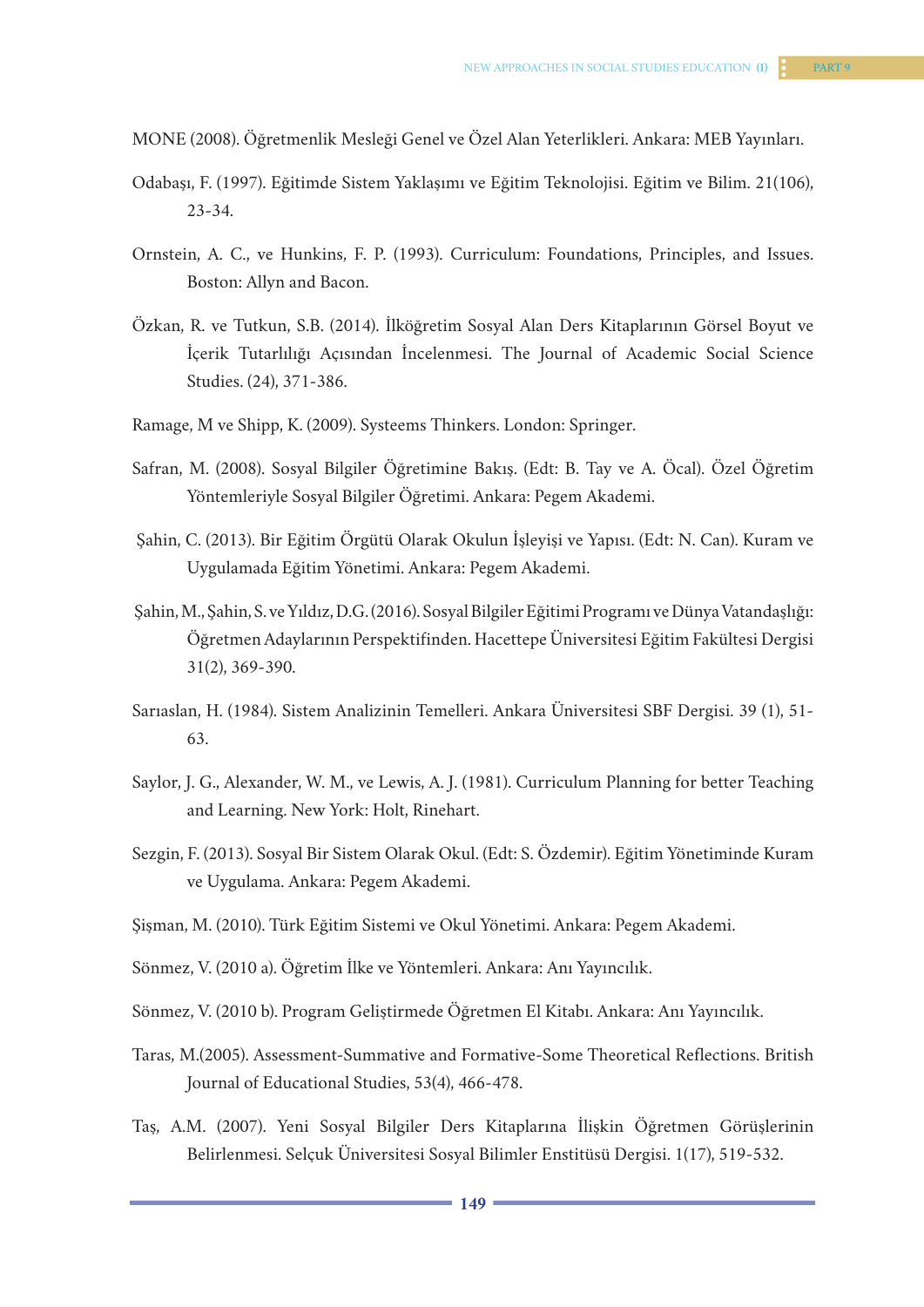MONE (2008). Öğretmenlik Mesleği Genel ve Özel Alan Yeterlikleri. Ankara: MEB Yayınları.

- Odabaşı, F. (1997). Eğitimde Sistem Yaklaşımı ve Eğitim Teknolojisi. Eğitim ve Bilim. 21(106), 23-34.
- Ornstein, A. C., ve Hunkins, F. P. (1993). Curriculum: Foundations, Principles, and Issues. Boston: Allyn and Bacon.
- Özkan, R. ve Tutkun, S.B. (2014). İlköğretim Sosyal Alan Ders Kitaplarının Görsel Boyut ve İçerik Tutarlılığı Açısından İncelenmesi. The Journal of Academic Social Science Studies. (24), 371-386.
- Ramage, M ve Shipp, K. (2009). Systeems Thinkers. London: Springer.
- Safran, M. (2008). Sosyal Bilgiler Öğretimine Bakış. (Edt: B. Tay ve A. Öcal). Özel Öğretim Yöntemleriyle Sosyal Bilgiler Öğretimi. Ankara: Pegem Akademi.
- Şahin, C. (2013). Bir Eğitim Örgütü Olarak Okulun İşleyişi ve Yapısı. (Edt: N. Can). Kuram ve Uygulamada Eğitim Yönetimi. Ankara: Pegem Akademi.
- Şahin, M., Şahin, S. ve Yıldız, D.G. (2016). Sosyal Bilgiler Eğitimi Programı ve Dünya Vatandaşlığı: Öğretmen Adaylarının Perspektifinden. Hacettepe Üniversitesi Eğitim Fakültesi Dergisi 31(2), 369-390.
- Sarıaslan, H. (1984). Sistem Analizinin Temelleri. Ankara Üniversitesi SBF Dergisi. 39 (1), 51- 63.
- Saylor, J. G., Alexander, W. M., ve Lewis, A. J. (1981). Curriculum Planning for better Teaching and Learning. New York: Holt, Rinehart.
- Sezgin, F. (2013). Sosyal Bir Sistem Olarak Okul. (Edt: S. Özdemir). Eğitim Yönetiminde Kuram ve Uygulama. Ankara: Pegem Akademi.
- Şişman, M. (2010). Türk Eğitim Sistemi ve Okul Yönetimi. Ankara: Pegem Akademi.
- Sönmez, V. (2010 a). Öğretim İlke ve Yöntemleri. Ankara: Anı Yayıncılık.
- Sönmez, V. (2010 b). Program Geliştirmede Öğretmen El Kitabı. Ankara: Anı Yayıncılık.
- Taras, M.(2005). Assessment-Summative and Formative-Some Theoretical Reflections. British Journal of Educational Studies, 53(4), 466-478.
- Taş, A.M. (2007). Yeni Sosyal Bilgiler Ders Kitaplarına İlişkin Öğretmen Görüşlerinin Belirlenmesi. Selçuk Üniversitesi Sosyal Bilimler Enstitüsü Dergisi. 1(17), 519-532.